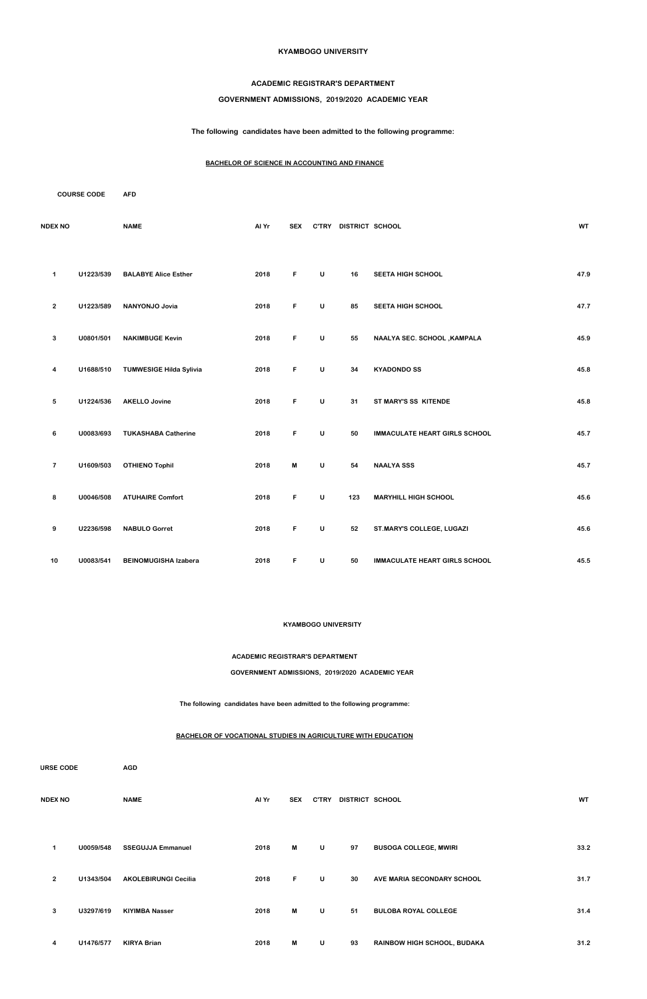#### **KYAMBOGO UNIVERSITY**

#### **ACADEMIC REGISTRAR'S DEPARTMENT**

### **GOVERNMENT ADMISSIONS, 2019/2020 ACADEMIC YEAR**

**The following candidates have been admitted to the following programme:**

### **BACHELOR OF SCIENCE IN ACCOUNTING AND FINANCE**

|                | <b>COURSE CODE</b> | <b>AFD</b>                     |       |            |              |                       |                                      |           |
|----------------|--------------------|--------------------------------|-------|------------|--------------|-----------------------|--------------------------------------|-----------|
| <b>NDEX NO</b> |                    | <b>NAME</b>                    | Al Yr | <b>SEX</b> |              | C'TRY DISTRICT SCHOOL |                                      | <b>WT</b> |
| $\mathbf 1$    | U1223/539          | <b>BALABYE Alice Esther</b>    | 2018  | F          | $\cup$       | 16                    | SEETA HIGH SCHOOL                    | 47.9      |
| $\mathbf{2}$   | U1223/589          | NANYONJO Jovia                 | 2018  | F          | $\sf U$      | 85                    | SEETA HIGH SCHOOL                    | 47.7      |
| $\mathbf{3}$   | U0801/501          | <b>NAKIMBUGE Kevin</b>         | 2018  | F          | $\mathsf{U}$ | 55                    | NAALYA SEC. SCHOOL , KAMPALA         | 45.9      |
| 4              | U1688/510          | <b>TUMWESIGE Hilda Sylivia</b> | 2018  | F          | $\cup$       | 34                    | <b>KYADONDO SS</b>                   | 45.8      |
| $\sqrt{5}$     | U1224/536          | <b>AKELLO Jovine</b>           | 2018  | F          | $\mathsf{U}$ | 31                    | ST MARY'S SS KITENDE                 | 45.8      |
| 6              | U0083/693          | <b>TUKASHABA Catherine</b>     | 2018  | F          | $\sf U$      | 50                    | <b>IMMACULATE HEART GIRLS SCHOOL</b> | 45.7      |
| $\overline{7}$ | U1609/503          | <b>OTHIENO Tophil</b>          | 2018  | M          | $\mathsf{U}$ | 54                    | <b>NAALYA SSS</b>                    | 45.7      |
| 8              | U0046/508          | <b>ATUHAIRE Comfort</b>        | 2018  | F          | $\sf U$      | 123                   | <b>MARYHILL HIGH SCHOOL</b>          | 45.6      |
| 9              | U2236/598          | <b>NABULO Gorret</b>           | 2018  | F          | U            | 52                    | ST.MARY'S COLLEGE, LUGAZI            | 45.6      |
| 10             | U0083/541          | <b>BEINOMUGISHA Izabera</b>    | 2018  | F          | $\sf U$      | 50                    | <b>IMMACULATE HEART GIRLS SCHOOL</b> | 45.5      |

#### **KYAMBOGO UNIVERSITY**

**ACADEMIC REGISTRAR'S DEPARTMENT**

**GOVERNMENT ADMISSIONS, 2019/2020 ACADEMIC YEAR**

**The following candidates have been admitted to the following programme:**

#### **BACHELOR OF VOCATIONAL STUDIES IN AGRICULTURE WITH EDUCATION**

| <b>URSE CODE</b> |                |           | <b>AGD</b>                  |       |            |              |                 |                                    |           |  |  |
|------------------|----------------|-----------|-----------------------------|-------|------------|--------------|-----------------|------------------------------------|-----------|--|--|
|                  | <b>NDEX NO</b> |           | <b>NAME</b>                 | Al Yr | <b>SEX</b> | <b>C'TRY</b> | DISTRICT SCHOOL |                                    | <b>WT</b> |  |  |
|                  | 1              | U0059/548 | <b>SSEGUJJA Emmanuel</b>    | 2018  | M          | U            | 97              | <b>BUSOGA COLLEGE, MWIRI</b>       | 33.2      |  |  |
|                  | $\overline{2}$ | U1343/504 | <b>AKOLEBIRUNGI Cecilia</b> | 2018  | F.         | U            | 30              | AVE MARIA SECONDARY SCHOOL         | 31.7      |  |  |
|                  | 3              | U3297/619 | <b>KIYIMBA Nasser</b>       | 2018  | M          | $\cup$       | 51              | <b>BULOBA ROYAL COLLEGE</b>        | 31.4      |  |  |
|                  | 4              | U1476/577 | <b>KIRYA Brian</b>          | 2018  | M          | U            | 93              | <b>RAINBOW HIGH SCHOOL, BUDAKA</b> | 31.2      |  |  |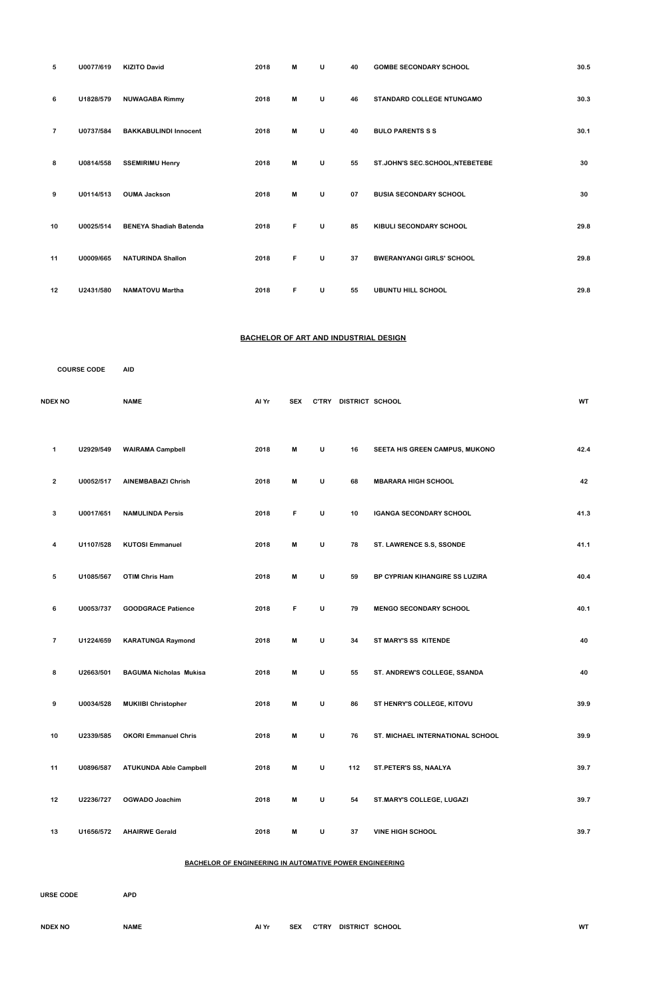| 5              | U0077/619 | <b>KIZITO David</b>           | 2018 | M | U | 40 | <b>GOMBE SECONDARY SCHOOL</b>    | 30.5 |
|----------------|-----------|-------------------------------|------|---|---|----|----------------------------------|------|
| 6              | U1828/579 | <b>NUWAGABA Rimmy</b>         | 2018 | M | U | 46 | <b>STANDARD COLLEGE NTUNGAMO</b> | 30.3 |
| $\overline{7}$ | U0737/584 | <b>BAKKABULINDI Innocent</b>  | 2018 | M | U | 40 | <b>BULO PARENTS S S</b>          | 30.1 |
| 8              | U0814/558 | <b>SSEMIRIMU Henry</b>        | 2018 | M | U | 55 | ST.JOHN'S SEC.SCHOOL, NTEBETEBE  | 30   |
| 9              | U0114/513 | <b>OUMA Jackson</b>           | 2018 | M | U | 07 | <b>BUSIA SECONDARY SCHOOL</b>    | 30   |
| 10             | U0025/514 | <b>BENEYA Shadiah Batenda</b> | 2018 | F | U | 85 | KIBULI SECONDARY SCHOOL          | 29.8 |
| 11             | U0009/665 | <b>NATURINDA Shallon</b>      | 2018 | F | U | 37 | <b>BWERANYANGI GIRLS' SCHOOL</b> | 29.8 |
| 12             | U2431/580 | <b>NAMATOVU Martha</b>        | 2018 | F | U | 55 | <b>UBUNTU HILL SCHOOL</b>        | 29.8 |

# **BACHELOR OF ART AND INDUSTRIAL DESIGN**

|                | <b>COURSE CODE</b> | <b>AID</b>                    |       |                           |              |                 |                                |           |
|----------------|--------------------|-------------------------------|-------|---------------------------|--------------|-----------------|--------------------------------|-----------|
| <b>NDEX NO</b> |                    | <b>NAME</b>                   | Al Yr | <b>SEX</b>                | <b>C'TRY</b> | DISTRICT SCHOOL |                                | <b>WT</b> |
| $\mathbf 1$    | U2929/549          | <b>WAIRAMA Campbell</b>       | 2018  | M                         | $\sf U$      | 16              | SEETA H/S GREEN CAMPUS, MUKONO | 42.4      |
| $\overline{2}$ | U0052/517          | <b>AINEMBABAZI Chrish</b>     | 2018  | M                         | $\mathsf{U}$ | 68              | <b>MBARARA HIGH SCHOOL</b>     | 42        |
| 3              | U0017/651          | <b>NAMULINDA Persis</b>       | 2018  | F                         | $\sf U$      | 10              | <b>IGANGA SECONDARY SCHOOL</b> | 41.3      |
| 4              | U1107/528          | <b>KUTOSI Emmanuel</b>        | 2018  | M                         | $\sf U$      | 78              | ST. LAWRENCE S.S, SSONDE       | 41.1      |
| 5              | U1085/567          | <b>OTIM Chris Ham</b>         | 2018  | M                         | U            | 59              | BP CYPRIAN KIHANGIRE SS LUZIRA | 40.4      |
| 6              | U0053/737          | <b>GOODGRACE Patience</b>     | 2018  | F                         | $\sf U$      | 79              | <b>MENGO SECONDARY SCHOOL</b>  | 40.1      |
| $\overline{7}$ | U1224/659          | <b>KARATUNGA Raymond</b>      | 2018  | $\boldsymbol{\mathsf{M}}$ | $\mathsf{U}$ | 34              | ST MARY'S SS KITENDE           | 40        |
| 8              | U2663/501          | <b>BAGUMA Nicholas Mukisa</b> | 2018  | M                         | $\sf U$      | 55              | ST. ANDREW'S COLLEGE, SSANDA   | 40        |
| 9              | U0034/528          | <b>MUKIIBI Christopher</b>    | 2018  | M                         | $\cup$       | 86              | ST HENRY'S COLLEGE, KITOVU     | 39.9      |

| 10 | U2339/585 | <b>OKORI Emmanuel Chris</b>   | 2018 | M | U | 76  | <b>ST. MICHAEL INTERNATIONAL SCHOOL</b> | 39.9 |
|----|-----------|-------------------------------|------|---|---|-----|-----------------------------------------|------|
| 11 | U0896/587 | <b>ATUKUNDA Able Campbell</b> | 2018 | M | U | 112 | ST.PETER'S SS, NAALYA                   | 39.7 |
| 12 | U2236/727 | OGWADO Joachim                | 2018 | M | U | 54  | <b>ST.MARY'S COLLEGE, LUGAZI</b>        | 39.7 |
| 13 | U1656/572 | <b>AHAIRWE Gerald</b>         | 2018 | M | U | 37  | <b>VINE HIGH SCHOOL</b>                 | 39.7 |

**BACHELOR OF ENGINEERING IN AUTOMATIVE POWER ENGINEERING**

**COURSE CODE APD INDEX NO NAME Al Yr SEX C'TRY DISTRICT SCHOOL WT**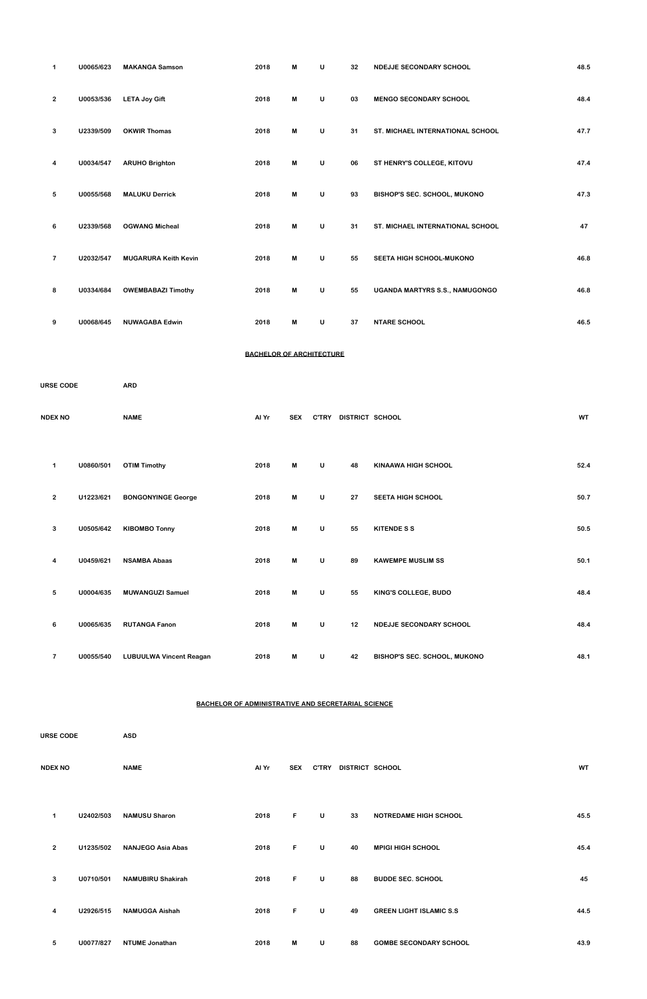| $\mathbf 1$    | U0065/623 | <b>MAKANGA Samson</b>       | 2018 | M | U | 32 | <b>NDEJJE SECONDARY SCHOOL</b>      | 48.5 |
|----------------|-----------|-----------------------------|------|---|---|----|-------------------------------------|------|
| $\overline{2}$ | U0053/536 | <b>LETA Joy Gift</b>        | 2018 | M | U | 03 | <b>MENGO SECONDARY SCHOOL</b>       | 48.4 |
| 3              | U2339/509 | <b>OKWIR Thomas</b>         | 2018 | M | U | 31 | ST. MICHAEL INTERNATIONAL SCHOOL    | 47.7 |
| 4              | U0034/547 | <b>ARUHO Brighton</b>       | 2018 | M | U | 06 | ST HENRY'S COLLEGE, KITOVU          | 47.4 |
| 5              | U0055/568 | <b>MALUKU Derrick</b>       | 2018 | M | U | 93 | <b>BISHOP'S SEC. SCHOOL, MUKONO</b> | 47.3 |
| 6              | U2339/568 | <b>OGWANG Micheal</b>       | 2018 | M | U | 31 | ST. MICHAEL INTERNATIONAL SCHOOL    | 47   |
| $\overline{7}$ | U2032/547 | <b>MUGARURA Keith Kevin</b> | 2018 | M | U | 55 | SEETA HIGH SCHOOL-MUKONO            | 46.8 |
| 8              | U0334/684 | <b>OWEMBABAZI Timothy</b>   | 2018 | M | U | 55 | UGANDA MARTYRS S.S., NAMUGONGO      | 46.8 |
| 9              | U0068/645 | <b>NUWAGABA Edwin</b>       | 2018 | M | U | 37 | <b>NTARE SCHOOL</b>                 | 46.5 |

# **BACHELOR OF ARCHITECTURE**

**COURSE CODE ARD**

| <b>NDEX NO</b> | <b>NAME</b> | Al Yr | <b>SEX</b> | <b>C'TRY</b> | DISTRICT SCHOOL | <b>WT</b> |
|----------------|-------------|-------|------------|--------------|-----------------|-----------|
|                |             |       |            |              |                 |           |

| 1              | U0860/501 | <b>OTIM Timothy</b>            | 2018 | M | U      | 48 | <b>KINAAWA HIGH SCHOOL</b>          | 52.4 |
|----------------|-----------|--------------------------------|------|---|--------|----|-------------------------------------|------|
| $\overline{2}$ | U1223/621 | <b>BONGONYINGE George</b>      | 2018 | M | U      | 27 | <b>SEETA HIGH SCHOOL</b>            | 50.7 |
| 3              | U0505/642 | <b>KIBOMBO Tonny</b>           | 2018 | M | U      | 55 | <b>KITENDE S S</b>                  | 50.5 |
| 4              | U0459/621 | <b>NSAMBA Abaas</b>            | 2018 | M | U      | 89 | <b>KAWEMPE MUSLIM SS</b>            | 50.1 |
| 5              | U0004/635 | <b>MUWANGUZI Samuel</b>        | 2018 | M | U      | 55 | KING'S COLLEGE, BUDO                | 48.4 |
| 6              | U0065/635 | <b>RUTANGA Fanon</b>           | 2018 | M | $\cup$ | 12 | <b>NDEJJE SECONDARY SCHOOL</b>      | 48.4 |
| $\overline{7}$ | U0055/540 | <b>LUBUULWA Vincent Reagan</b> | 2018 | M | U      | 42 | <b>BISHOP'S SEC. SCHOOL, MUKONO</b> | 48.1 |

# **BACHELOR OF ADMINISTRATIVE AND SECRETARIAL SCIENCE**

| <b>URSE CODE</b> |           | <b>ASD</b>               |       |            |              |                 |                                |           |  |  |
|------------------|-----------|--------------------------|-------|------------|--------------|-----------------|--------------------------------|-----------|--|--|
| <b>NDEX NO</b>   |           | <b>NAME</b>              | Al Yr | <b>SEX</b> | <b>C'TRY</b> | DISTRICT SCHOOL |                                | <b>WT</b> |  |  |
| 1                | U2402/503 | <b>NAMUSU Sharon</b>     | 2018  | F          | U            | 33              | <b>NOTREDAME HIGH SCHOOL</b>   | 45.5      |  |  |
| $\overline{2}$   | U1235/502 | <b>NANJEGO Asia Abas</b> | 2018  | F          | U            | 40              | <b>MPIGI HIGH SCHOOL</b>       | 45.4      |  |  |
| 3                | U0710/501 | <b>NAMUBIRU Shakirah</b> | 2018  | F.         | U            | 88              | <b>BUDDE SEC. SCHOOL</b>       | 45        |  |  |
| 4                | U2926/515 | <b>NAMUGGA Aishah</b>    | 2018  | F          | $\sf U$      | 49              | <b>GREEN LIGHT ISLAMIC S.S</b> | 44.5      |  |  |
| 5                | U0077/827 | <b>NTUME Jonathan</b>    | 2018  | M          | U            | 88              | <b>GOMBE SECONDARY SCHOOL</b>  | 43.9      |  |  |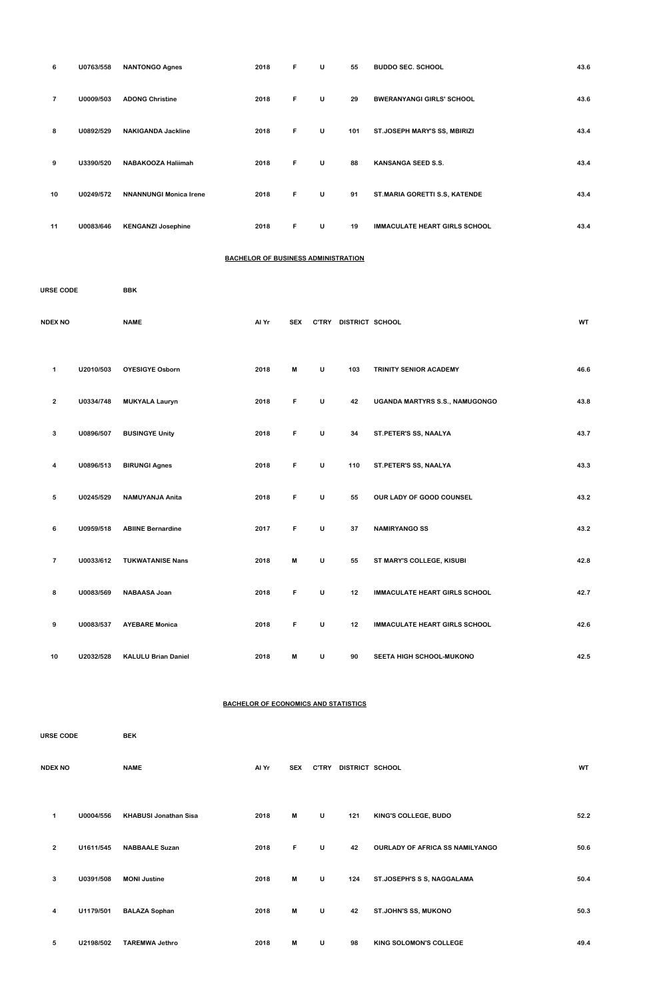| 6                | U0763/558 | <b>NANTONGO Agnes</b>         | 2018                                       | F  | U | 55  | <b>BUDDO SEC. SCHOOL</b>             | 43.6 |
|------------------|-----------|-------------------------------|--------------------------------------------|----|---|-----|--------------------------------------|------|
| $\overline{7}$   | U0009/503 | <b>ADONG Christine</b>        | 2018                                       | F  | U | 29  | <b>BWERANYANGI GIRLS' SCHOOL</b>     | 43.6 |
| 8                | U0892/529 | <b>NAKIGANDA Jackline</b>     | 2018                                       | F  | U | 101 | ST.JOSEPH MARY'S SS, MBIRIZI         | 43.4 |
| 9                | U3390/520 | NABAKOOZA Haliimah            | 2018                                       | F. | U | 88  | <b>KANSANGA SEED S.S.</b>            | 43.4 |
| 10               | U0249/572 | <b>NNANNUNGI Monica Irene</b> | 2018                                       | F  | U | 91  | ST.MARIA GORETTI S.S, KATENDE        | 43.4 |
| 11               | U0083/646 | <b>KENGANZI Josephine</b>     | 2018                                       | F  | U | 19  | <b>IMMACULATE HEART GIRLS SCHOOL</b> | 43.4 |
|                  |           |                               | <b>BACHELOR OF BUSINESS ADMINISTRATION</b> |    |   |     |                                      |      |
| <b>URSE CODE</b> |           | <b>BBK</b>                    |                                            |    |   |     |                                      |      |

| <b>NDEX NO</b> |           | <b>NAME</b>                | Al Yr | <b>SEX</b> |              | C'TRY DISTRICT SCHOOL |                                      | WT   |
|----------------|-----------|----------------------------|-------|------------|--------------|-----------------------|--------------------------------------|------|
| $\mathbf 1$    | U2010/503 | <b>OYESIGYE Osborn</b>     | 2018  | M          | $\sf U$      | 103                   | TRINITY SENIOR ACADEMY               | 46.6 |
| $\overline{2}$ | U0334/748 | <b>MUKYALA Lauryn</b>      | 2018  | F          | $\sf U$      | 42                    | UGANDA MARTYRS S.S., NAMUGONGO       | 43.8 |
| $\mathbf{3}$   | U0896/507 | <b>BUSINGYE Unity</b>      | 2018  | F          | $\mathsf{U}$ | 34                    | ST.PETER'S SS, NAALYA                | 43.7 |
| 4              | U0896/513 | <b>BIRUNGI Agnes</b>       | 2018  | F          | $\sf U$      | 110                   | ST.PETER'S SS, NAALYA                | 43.3 |
| 5              | U0245/529 | <b>NAMUYANJA Anita</b>     | 2018  | F          | $\mathsf{U}$ | 55                    | OUR LADY OF GOOD COUNSEL             | 43.2 |
| 6              | U0959/518 | <b>ABIINE Bernardine</b>   | 2017  | F          | $\sf U$      | 37                    | <b>NAMIRYANGO SS</b>                 | 43.2 |
| $\overline{7}$ | U0033/612 | <b>TUKWATANISE Nans</b>    | 2018  | M          | $\sf U$      | 55                    | ST MARY'S COLLEGE, KISUBI            | 42.8 |
| 8              | U0083/569 | NABAASA Joan               | 2018  | F          | $\sf U$      | 12                    | <b>IMMACULATE HEART GIRLS SCHOOL</b> | 42.7 |
| 9              | U0083/537 | <b>AYEBARE Monica</b>      | 2018  | F          | $\mathsf{U}$ | 12                    | <b>IMMACULATE HEART GIRLS SCHOOL</b> | 42.6 |
| 10             | U2032/528 | <b>KALULU Brian Daniel</b> | 2018  | M          | U            | 90                    | <b>SEETA HIGH SCHOOL-MUKONO</b>      | 42.5 |

# **BACHELOR OF ECONOMICS AND STATISTICS**

| <b>URSE CODE</b> |           | <b>BEK</b>                   |       |            |              |                 |                                        |           |  |
|------------------|-----------|------------------------------|-------|------------|--------------|-----------------|----------------------------------------|-----------|--|
| <b>NDEX NO</b>   |           | <b>NAME</b>                  | Al Yr | <b>SEX</b> | <b>C'TRY</b> | DISTRICT SCHOOL |                                        | <b>WT</b> |  |
| 1                | U0004/556 | <b>KHABUSI Jonathan Sisa</b> | 2018  | M          | $\cup$       | 121             | KING'S COLLEGE, BUDO                   | 52.2      |  |
| $\overline{2}$   | U1611/545 | <b>NABBAALE Suzan</b>        | 2018  | F.         | U            | 42              | <b>OURLADY OF AFRICA SS NAMILYANGO</b> | 50.6      |  |
| 3                | U0391/508 | <b>MONI Justine</b>          | 2018  | M          | U            | 124             | ST.JOSEPH'S S S, NAGGALAMA             | 50.4      |  |
| 4                | U1179/501 | <b>BALAZA Sophan</b>         | 2018  | M          | $\sf U$      | 42              | ST.JOHN'S SS, MUKONO                   | 50.3      |  |
| 5                | U2198/502 | <b>TAREMWA Jethro</b>        | 2018  | M          | U            | 98              | KING SOLOMON'S COLLEGE                 | 49.4      |  |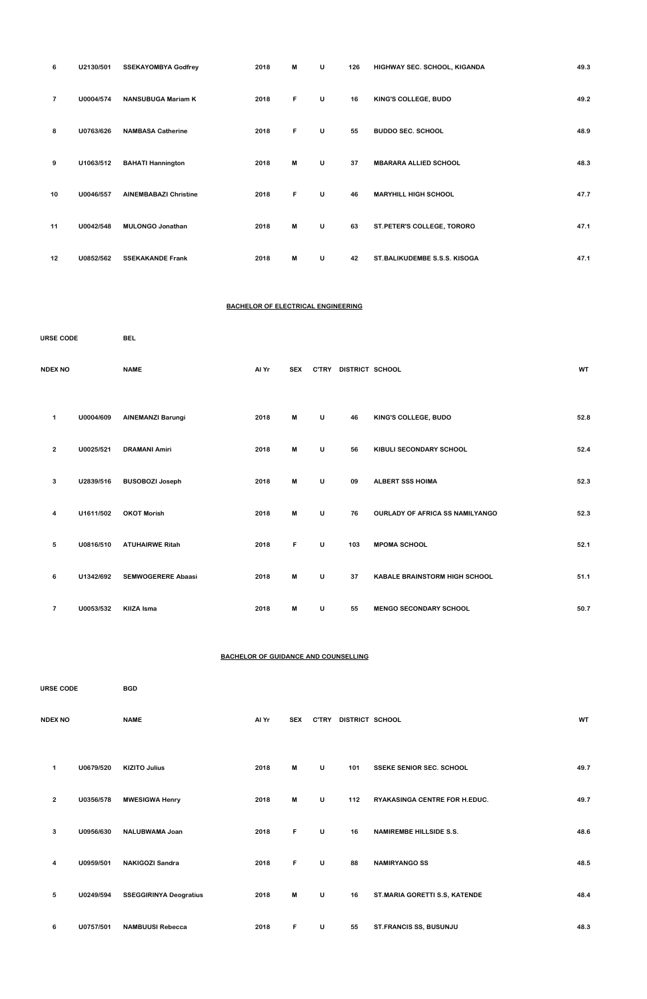| 6              | U2130/501 | <b>SSEKAYOMBYA Godfrey</b>   | 2018 | М  | U | 126 | HIGHWAY SEC. SCHOOL, KIGANDA | 49.3 |
|----------------|-----------|------------------------------|------|----|---|-----|------------------------------|------|
| $\overline{7}$ | U0004/574 | <b>NANSUBUGA Mariam K</b>    | 2018 | F. | U | 16  | KING'S COLLEGE, BUDO         | 49.2 |
| 8              | U0763/626 | <b>NAMBASA Catherine</b>     | 2018 | F  | U | 55  | <b>BUDDO SEC. SCHOOL</b>     | 48.9 |
| 9              | U1063/512 | <b>BAHATI Hannington</b>     | 2018 | М  | U | 37  | <b>MBARARA ALLIED SCHOOL</b> | 48.3 |
| 10             | U0046/557 | <b>AINEMBABAZI Christine</b> | 2018 | F. | U | 46  | <b>MARYHILL HIGH SCHOOL</b>  | 47.7 |
| 11             | U0042/548 | <b>MULONGO Jonathan</b>      | 2018 | М  | U | 63  | ST.PETER'S COLLEGE, TORORO   | 47.1 |
| 12             | U0852/562 | <b>SSEKAKANDE Frank</b>      | 2018 | М  | U | 42  | ST.BALIKUDEMBE S.S.S. KISOGA | 47.1 |

### **BACHELOR OF ELECTRICAL ENGINEERING**

| <b>URSE CODE</b>        |           | <b>BEL</b>                |       |            |              |                 |                                        |           |  |
|-------------------------|-----------|---------------------------|-------|------------|--------------|-----------------|----------------------------------------|-----------|--|
| <b>NDEX NO</b>          |           | <b>NAME</b>               | Al Yr | <b>SEX</b> | <b>C'TRY</b> | DISTRICT SCHOOL |                                        | <b>WT</b> |  |
| 1                       | U0004/609 | <b>AINEMANZI Barungi</b>  | 2018  | M          | U            | 46              | KING'S COLLEGE, BUDO                   | 52.8      |  |
| $\mathbf{2}$            | U0025/521 | <b>DRAMANI Amiri</b>      | 2018  | M          | U            | 56              | KIBULI SECONDARY SCHOOL                | 52.4      |  |
| 3                       | U2839/516 | <b>BUSOBOZI Joseph</b>    | 2018  | M          | U            | 09              | <b>ALBERT SSS HOIMA</b>                | 52.3      |  |
| 4                       | U1611/502 | <b>OKOT Morish</b>        | 2018  | M          | U            | 76              | <b>OURLADY OF AFRICA SS NAMILYANGO</b> | 52.3      |  |
| 5                       | U0816/510 | <b>ATUHAIRWE Ritah</b>    | 2018  | F          | U            | 103             | <b>MPOMA SCHOOL</b>                    | 52.1      |  |
| 6                       | U1342/692 | <b>SEMWOGERERE Abaasi</b> | 2018  | M          | U            | 37              | <b>KABALE BRAINSTORM HIGH SCHOOL</b>   | 51.1      |  |
| $\overline{\mathbf{r}}$ | U0053/532 | <b>KIIZA Isma</b>         | 2018  | M          | U            | 55              | <b>MENGO SECONDARY SCHOOL</b>          | 50.7      |  |

### **BACHELOR OF GUIDANCE AND COUNSELLING**

| $\mathbf 1$    | U0679/520 | <b>KIZITO Julius</b>          | 2018 | M  | U | 101 | <b>SSEKE SENIOR SEC. SCHOOL</b>      | 49.7 |
|----------------|-----------|-------------------------------|------|----|---|-----|--------------------------------------|------|
| $\overline{2}$ | U0356/578 | <b>MWESIGWA Henry</b>         | 2018 | M  | U | 112 | <b>RYAKASINGA CENTRE FOR H.EDUC.</b> | 49.7 |
| 3              | U0956/630 | NALUBWAMA Joan                | 2018 | F. | U | 16  | <b>NAMIREMBE HILLSIDE S.S.</b>       | 48.6 |
| 4              | U0959/501 | <b>NAKIGOZI Sandra</b>        | 2018 | F. | U | 88  | <b>NAMIRYANGO SS</b>                 | 48.5 |
| 5              | U0249/594 | <b>SSEGGIRINYA Deogratius</b> | 2018 | M  | U | 16  | ST.MARIA GORETTI S.S, KATENDE        | 48.4 |
| 6              | U0757/501 | <b>NAMBUUSI Rebecca</b>       | 2018 | F  | U | 55  | <b>ST.FRANCIS SS, BUSUNJU</b>        | 48.3 |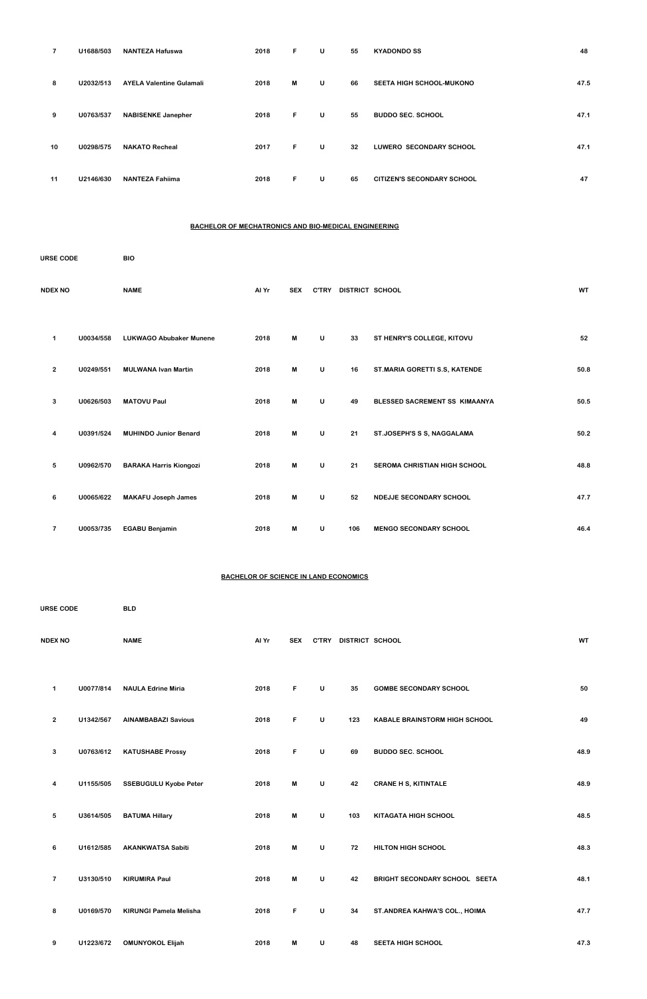| 7  | U1688/503 | <b>NANTEZA Hafuswa</b>          | 2018 | F. | U | 55 | <b>KYADONDO SS</b>                | 48   |
|----|-----------|---------------------------------|------|----|---|----|-----------------------------------|------|
| 8  | U2032/513 | <b>AYELA Valentine Gulamali</b> | 2018 | M  | U | 66 | <b>SEETA HIGH SCHOOL-MUKONO</b>   | 47.5 |
| 9  | U0763/537 | <b>NABISENKE Janepher</b>       | 2018 | F. | U | 55 | <b>BUDDO SEC. SCHOOL</b>          | 47.1 |
| 10 | U0298/575 | <b>NAKATO Recheal</b>           | 2017 | F. | U | 32 | <b>LUWERO SECONDARY SCHOOL</b>    | 47.1 |
| 11 | U2146/630 | <b>NANTEZA Fahiima</b>          | 2018 | F. | U | 65 | <b>CITIZEN'S SECONDARY SCHOOL</b> | 47   |

# **BACHELOR OF MECHATRONICS AND BIO-MEDICAL ENGINEERING**

| <b>URSE CODE</b>        |           | <b>BIO</b>                     |       |            |              |                 |                               |           |
|-------------------------|-----------|--------------------------------|-------|------------|--------------|-----------------|-------------------------------|-----------|
| <b>NDEX NO</b>          |           | <b>NAME</b>                    | Al Yr | <b>SEX</b> | <b>C'TRY</b> | DISTRICT SCHOOL |                               | <b>WT</b> |
| 1                       | U0034/558 | <b>LUKWAGO Abubaker Munene</b> | 2018  | М          | U            | 33              | ST HENRY'S COLLEGE, KITOVU    | 52        |
| $\mathbf{2}$            | U0249/551 | <b>MULWANA Ivan Martin</b>     | 2018  | M          | U            | 16              | ST.MARIA GORETTI S.S, KATENDE | 50.8      |
| 3                       | U0626/503 | <b>MATOVU Paul</b>             | 2018  | M          | U            | 49              | BLESSED SACREMENT SS KIMAANYA | 50.5      |
| 4                       | U0391/524 | <b>MUHINDO Junior Benard</b>   | 2018  | M          | U            | 21              | ST.JOSEPH'S S S, NAGGALAMA    | 50.2      |
| 5                       | U0962/570 | <b>BARAKA Harris Kiongozi</b>  | 2018  | M          | U            | 21              | SEROMA CHRISTIAN HIGH SCHOOL  | 48.8      |
| 6                       | U0065/622 | <b>MAKAFU Joseph James</b>     | 2018  | M          | U            | 52              | NDEJJE SECONDARY SCHOOL       | 47.7      |
| $\overline{\mathbf{r}}$ | U0053/735 | <b>EGABU Benjamin</b>          | 2018  | M          | U            | 106             | <b>MENGO SECONDARY SCHOOL</b> | 46.4      |

### **BACHELOR OF SCIENCE IN LAND ECONOMICS**

| URSE CODE      |           | <b>BLD</b>                 |       |            |              |                 |                                      |           |
|----------------|-----------|----------------------------|-------|------------|--------------|-----------------|--------------------------------------|-----------|
| <b>NDEX NO</b> |           | <b>NAME</b>                | Al Yr | <b>SEX</b> | <b>C'TRY</b> | DISTRICT SCHOOL |                                      | <b>WT</b> |
| 1              | U0077/814 | <b>NAULA Edrine Miria</b>  | 2018  | F.         | U            | 35              | <b>GOMBE SECONDARY SCHOOL</b>        | 50        |
| 2              | U1342/567 | <b>AINAMBABAZI Savious</b> | 2018  | F.         | U            | 123             | <b>KABALE BRAINSTORM HIGH SCHOOL</b> | 49        |

| 3              | U0763/612 | <b>KATUSHABE Prossy</b>       | 2018 | F  | U       | 69  | <b>BUDDO SEC. SCHOOL</b>       | 48.9 |
|----------------|-----------|-------------------------------|------|----|---------|-----|--------------------------------|------|
| $\overline{4}$ | U1155/505 | <b>SSEBUGULU Kyobe Peter</b>  | 2018 | M  | U       | 42  | <b>CRANE H S, KITINTALE</b>    | 48.9 |
| 5              | U3614/505 | <b>BATUMA Hillary</b>         | 2018 | M  | U       | 103 | KITAGATA HIGH SCHOOL           | 48.5 |
| 6              | U1612/585 | <b>AKANKWATSA Sabiti</b>      | 2018 | M  | U       | 72  | HILTON HIGH SCHOOL             | 48.3 |
| $\overline{7}$ | U3130/510 | <b>KIRUMIRA Paul</b>          | 2018 | M  | $\sf U$ | 42  | BRIGHT SECONDARY SCHOOL SEETA  | 48.1 |
| 8              | U0169/570 | <b>KIRUNGI Pamela Melisha</b> | 2018 | F. | U       | 34  | ST. ANDREA KAHWA'S COL., HOIMA | 47.7 |
| 9              | U1223/672 | <b>OMUNYOKOL Elijah</b>       | 2018 | M  | U       | 48  | <b>SEETA HIGH SCHOOL</b>       | 47.3 |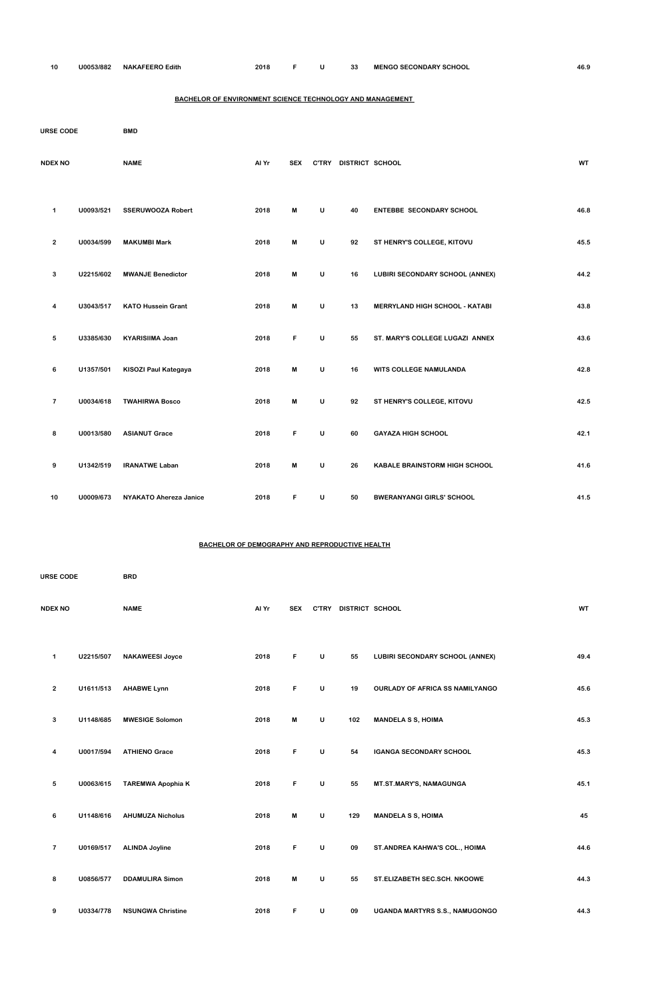**U0053/882 NAKAFEERO Edith 2018 F U 33 MENGO SECONDARY SCHOOL 46.9**

# **BACHELOR OF ENVIRONMENT SCIENCE TECHNOLOGY AND MANAGEMENT**

| <b>URSE CODE</b> |           | <b>BMD</b>                    |       |            |              |                       |                                       |           |
|------------------|-----------|-------------------------------|-------|------------|--------------|-----------------------|---------------------------------------|-----------|
| <b>NDEX NO</b>   |           | <b>NAME</b>                   | Al Yr | <b>SEX</b> |              | C'TRY DISTRICT SCHOOL |                                       | <b>WT</b> |
| 1                | U0093/521 | <b>SSERUWOOZA Robert</b>      | 2018  | M          | $\mathsf{U}$ | 40                    | <b>ENTEBBE SECONDARY SCHOOL</b>       | 46.8      |
| $\mathbf{2}$     | U0034/599 | <b>MAKUMBI Mark</b>           | 2018  | M          | U            | 92                    | ST HENRY'S COLLEGE, KITOVU            | 45.5      |
| 3                | U2215/602 | <b>MWANJE Benedictor</b>      | 2018  | M          | U            | 16                    | LUBIRI SECONDARY SCHOOL (ANNEX)       | 44.2      |
| 4                | U3043/517 | <b>KATO Hussein Grant</b>     | 2018  | М          | U            | 13                    | <b>MERRYLAND HIGH SCHOOL - KATABI</b> | 43.8      |
| 5                | U3385/630 | <b>KYARISIIMA Joan</b>        | 2018  | F          | U            | 55                    | ST. MARY'S COLLEGE LUGAZI ANNEX       | 43.6      |
| 6                | U1357/501 | KISOZI Paul Kategaya          | 2018  | M          | $\mathsf{U}$ | 16                    | WITS COLLEGE NAMULANDA                | 42.8      |
| $\overline{7}$   | U0034/618 | <b>TWAHIRWA Bosco</b>         | 2018  | M          | U            | 92                    | ST HENRY'S COLLEGE, KITOVU            | 42.5      |
| 8                | U0013/580 | <b>ASIANUT Grace</b>          | 2018  | F          | $\cup$       | 60                    | <b>GAYAZA HIGH SCHOOL</b>             | 42.1      |
| 9                | U1342/519 | <b>IRANATWE Laban</b>         | 2018  | M          | U            | 26                    | KABALE BRAINSTORM HIGH SCHOOL         | 41.6      |
| 10               | U0009/673 | <b>NYAKATO Ahereza Janice</b> | 2018  | F          | U            | 50                    | <b>BWERANYANGI GIRLS' SCHOOL</b>      | 41.5      |

# **BACHELOR OF DEMOGRAPHY AND REPRODUCTIVE HEALTH**

| <b>URSE CODE</b>     |           | <b>BRD</b>             |       |            |              |                 |                                        |           |
|----------------------|-----------|------------------------|-------|------------|--------------|-----------------|----------------------------------------|-----------|
| <b>NDEX NO</b>       |           | <b>NAME</b>            | Al Yr | <b>SEX</b> | <b>C'TRY</b> | DISTRICT SCHOOL |                                        | <b>WT</b> |
| $\blacktriangleleft$ | U2215/507 | <b>NAKAWEESI Joyce</b> | 2018  | F          | U            | 55              | LUBIRI SECONDARY SCHOOL (ANNEX)        | 49.4      |
| $\overline{2}$       | U1611/513 | <b>AHABWE Lynn</b>     | 2018  | F.         | U            | 19              | <b>OURLADY OF AFRICA SS NAMILYANGO</b> | 45.6      |
| 3                    | U1148/685 | <b>MWESIGE Solomon</b> | 2018  | M          | U            | 102             | <b>MANDELA S S, HOIMA</b>              | 45.3      |

| 4              | U0017/594 | <b>ATHIENO Grace</b>     | 2018 | F | U | 54  | <b>IGANGA SECONDARY SCHOOL</b>        | 45.3 |
|----------------|-----------|--------------------------|------|---|---|-----|---------------------------------------|------|
| 5              | U0063/615 | <b>TAREMWA Apophia K</b> | 2018 | F | U | 55  | MT.ST.MARY'S, NAMAGUNGA               | 45.1 |
| 6              | U1148/616 | <b>AHUMUZA Nicholus</b>  | 2018 | M | U | 129 | <b>MANDELA S S, HOIMA</b>             | 45   |
| $\overline{7}$ | U0169/517 | <b>ALINDA Joyline</b>    | 2018 | F | U | 09  | ST. ANDREA KAHWA'S COL., HOIMA        | 44.6 |
| 8              | U0856/577 | <b>DDAMULIRA Simon</b>   | 2018 | M | U | 55  | ST.ELIZABETH SEC.SCH. NKOOWE          | 44.3 |
| 9              | U0334/778 | <b>NSUNGWA Christine</b> | 2018 | F | U | 09  | <b>UGANDA MARTYRS S.S., NAMUGONGO</b> | 44.3 |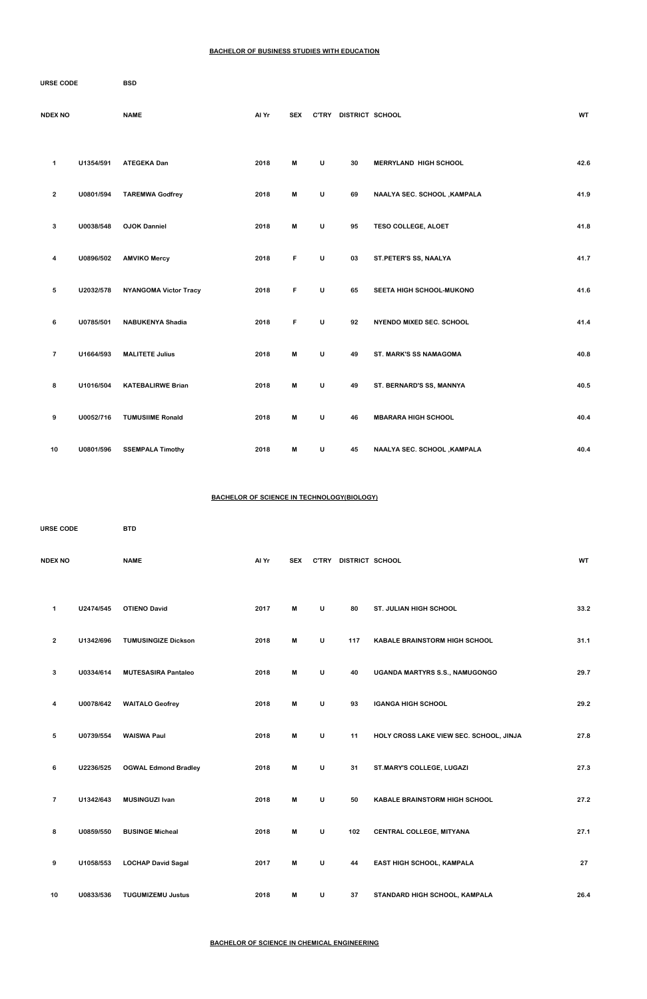#### **BACHELOR OF BUSINESS STUDIES WITH EDUCATION**

| URSE CODE               |           | BSD                          |       |            |              |                       |                              |           |
|-------------------------|-----------|------------------------------|-------|------------|--------------|-----------------------|------------------------------|-----------|
| <b>NDEX NO</b>          |           | <b>NAME</b>                  | Al Yr | <b>SEX</b> |              | C'TRY DISTRICT SCHOOL |                              | <b>WT</b> |
| 1                       | U1354/591 | <b>ATEGEKA Dan</b>           | 2018  | M          | U            | 30                    | <b>MERRYLAND HIGH SCHOOL</b> | 42.6      |
| $\mathbf{2}$            | U0801/594 | <b>TAREMWA Godfrey</b>       | 2018  | M          | U            | 69                    | NAALYA SEC. SCHOOL , KAMPALA | 41.9      |
| 3                       | U0038/548 | <b>OJOK Danniel</b>          | 2018  | M          | U            | 95                    | <b>TESO COLLEGE, ALOET</b>   | 41.8      |
| 4                       | U0896/502 | <b>AMVIKO Mercy</b>          | 2018  | F          | U            | 03                    | ST.PETER'S SS, NAALYA        | 41.7      |
| 5                       | U2032/578 | <b>NYANGOMA Victor Tracy</b> | 2018  | F          | U            | 65                    | SEETA HIGH SCHOOL-MUKONO     | 41.6      |
| 6                       | U0785/501 | <b>NABUKENYA Shadia</b>      | 2018  | F          | U            | 92                    | NYENDO MIXED SEC. SCHOOL     | 41.4      |
| $\overline{\mathbf{7}}$ | U1664/593 | <b>MALITETE Julius</b>       | 2018  | M          | $\mathsf{U}$ | 49                    | ST. MARK'S SS NAMAGOMA       | 40.8      |
| 8                       | U1016/504 | <b>KATEBALIRWE Brian</b>     | 2018  | M          | U            | 49                    | ST. BERNARD'S SS, MANNYA     | 40.5      |
| 9                       | U0052/716 | <b>TUMUSIIME Ronald</b>      | 2018  | M          | U            | 46                    | <b>MBARARA HIGH SCHOOL</b>   | 40.4      |
| 10                      | U0801/596 | <b>SSEMPALA Timothy</b>      | 2018  | M          | U            | 45                    | NAALYA SEC. SCHOOL , KAMPALA | 40.4      |

### **BACHELOR OF SCIENCE IN TECHNOLOGY(BIOLOGY)**

| <b>URSE CODE</b> |           | <b>BTD</b>                 |       |            |              |                 |                                      |           |
|------------------|-----------|----------------------------|-------|------------|--------------|-----------------|--------------------------------------|-----------|
| <b>NDEX NO</b>   |           | <b>NAME</b>                | Al Yr | <b>SEX</b> | <b>C'TRY</b> | DISTRICT SCHOOL |                                      | <b>WT</b> |
| 1                | U2474/545 | <b>OTIENO David</b>        | 2017  | M          | $\cup$       | 80              | <b>ST. JULIAN HIGH SCHOOL</b>        | 33.2      |
| 2                | U1342/696 | <b>TUMUSINGIZE Dickson</b> | 2018  | M          | $\cup$       | 117             | <b>KABALE BRAINSTORM HIGH SCHOOL</b> | 31.1      |
| 3                | U0334/614 | <b>MUTESASIRA Pantaleo</b> | 2018  | M          | U            | 40              | UGANDA MARTYRS S.S., NAMUGONGO       | 29.7      |
| 4                | U0078/642 | <b>WAITALO Geofrey</b>     | 2018  | M          | U            | 93              | <b>IGANGA HIGH SCHOOL</b>            | 29.2      |

| 5              | U0739/554 | <b>WAISWA Paul</b>          | 2018 | M | U | 11  | HOLY CROSS LAKE VIEW SEC. SCHOOL, JINJA | 27.8 |
|----------------|-----------|-----------------------------|------|---|---|-----|-----------------------------------------|------|
| 6              | U2236/525 | <b>OGWAL Edmond Bradley</b> | 2018 | M | U | 31  | ST.MARY'S COLLEGE, LUGAZI               | 27.3 |
| $\overline{7}$ | U1342/643 | <b>MUSINGUZI Ivan</b>       | 2018 | M | U | 50  | <b>KABALE BRAINSTORM HIGH SCHOOL</b>    | 27.2 |
| 8              | U0859/550 | <b>BUSINGE Micheal</b>      | 2018 | М | U | 102 | <b>CENTRAL COLLEGE, MITYANA</b>         | 27.1 |
| 9              | U1058/553 | <b>LOCHAP David Sagal</b>   | 2017 | м | U | 44  | <b>EAST HIGH SCHOOL, KAMPALA</b>        | 27   |
| 10             | U0833/536 | <b>TUGUMIZEMU Justus</b>    | 2018 | M | U | 37  | STANDARD HIGH SCHOOL, KAMPALA           | 26.4 |

**BACHELOR OF SCIENCE IN CHEMICAL ENGINEERING**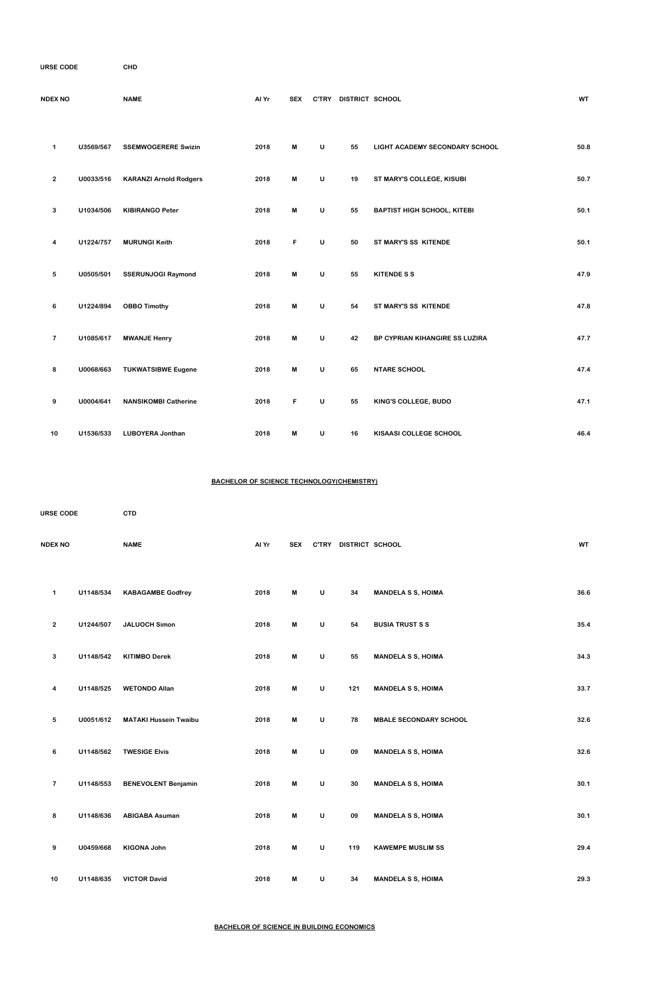| <b>URSE CODE</b> |  |
|------------------|--|
|                  |  |

**COURSE CODE CHD**

| <b>NDEX NO</b>  |           | <b>NAME</b>                   | Al Yr | <b>SEX</b>                |              | C'TRY DISTRICT SCHOOL |                                    | WT   |
|-----------------|-----------|-------------------------------|-------|---------------------------|--------------|-----------------------|------------------------------------|------|
| $\mathbf 1$     | U3569/567 | <b>SSEMWOGERERE Swizin</b>    | 2018  | M                         | $\sf U$      | 55                    | LIGHT ACADEMY SECONDARY SCHOOL     | 50.8 |
| $\overline{2}$  | U0033/516 | <b>KARANZI Arnold Rodgers</b> | 2018  | M                         | $\sf U$      | 19                    | ST MARY'S COLLEGE, KISUBI          | 50.7 |
| $\mathbf{3}$    | U1034/506 | <b>KIBIRANGO Peter</b>        | 2018  | M                         | $\mathsf{U}$ | 55                    | <b>BAPTIST HIGH SCHOOL, KITEBI</b> | 50.1 |
| 4               | U1224/757 | <b>MURUNGI Keith</b>          | 2018  | F                         | $\sf U$      | 50                    | ST MARY'S SS KITENDE               | 50.1 |
| $5\phantom{.0}$ | U0505/501 | <b>SSERUNJOGI Raymond</b>     | 2018  | M                         | $\mathsf{U}$ | 55                    | <b>KITENDE S S</b>                 | 47.9 |
| 6               | U1224/894 | <b>OBBO Timothy</b>           | 2018  | M                         | $\sf U$      | 54                    | ST MARY'S SS KITENDE               | 47.8 |
| $\overline{7}$  | U1085/617 | <b>MWANJE Henry</b>           | 2018  | $\boldsymbol{\mathsf{M}}$ | $\mathsf{U}$ | 42                    | BP CYPRIAN KIHANGIRE SS LUZIRA     | 47.7 |
| 8               | U0068/663 | <b>TUKWATSIBWE Eugene</b>     | 2018  | M                         | $\sf U$      | 65                    | <b>NTARE SCHOOL</b>                | 47.4 |
| 9               | U0004/641 | <b>NANSIKOMBI Catherine</b>   | 2018  | F                         | $\sf U$      | 55                    | KING'S COLLEGE, BUDO               | 47.1 |
| 10              | U1536/533 | <b>LUBOYERA Jonthan</b>       | 2018  | M                         | U            | 16                    | KISAASI COLLEGE SCHOOL             | 46.4 |

# **BACHELOR OF SCIENCE TECHNOLOGY(CHEMISTRY)**

| <b>URSE CODE</b> |           | <b>CTD</b>                   |       |            |              |                 |                               |           |
|------------------|-----------|------------------------------|-------|------------|--------------|-----------------|-------------------------------|-----------|
| <b>NDEX NO</b>   |           | <b>NAME</b>                  | Al Yr | <b>SEX</b> | <b>C'TRY</b> | DISTRICT SCHOOL |                               | <b>WT</b> |
| 1                | U1148/534 | <b>KABAGAMBE Godfrey</b>     | 2018  | M          | U            | 34              | <b>MANDELA S S, HOIMA</b>     | 36.6      |
| $\overline{2}$   | U1244/507 | <b>JALUOCH Simon</b>         | 2018  | M          | $\sf U$      | 54              | <b>BUSIA TRUST S S</b>        | 35.4      |
| 3                | U1148/542 | <b>KITIMBO Derek</b>         | 2018  | M          | $\cup$       | 55              | <b>MANDELA S S, HOIMA</b>     | 34.3      |
| 4                | U1148/525 | <b>WETONDO Allan</b>         | 2018  | M          | U            | 121             | <b>MANDELA S S, HOIMA</b>     | 33.7      |
| 5                | U0051/612 | <b>MATAKI Hussein Twaibu</b> | 2018  | M          | U            | 78              | <b>MBALE SECONDARY SCHOOL</b> | 32.6      |

| 6              | U1148/562 | <b>TWESIGE Elvis</b>       | 2018 | M | U | 09  | <b>MANDELA S S, HOIMA</b> | 32.6 |
|----------------|-----------|----------------------------|------|---|---|-----|---------------------------|------|
| $\overline{7}$ | U1148/553 | <b>BENEVOLENT Benjamin</b> | 2018 | M | U | 30  | <b>MANDELA S S, HOIMA</b> | 30.1 |
| 8              | U1148/636 | <b>ABIGABA Asuman</b>      | 2018 | M | U | 09  | <b>MANDELA S S, HOIMA</b> | 30.1 |
| 9              | U0459/668 | <b>KIGONA John</b>         | 2018 | M | U | 119 | <b>KAWEMPE MUSLIM SS</b>  | 29.4 |
| 10             | U1148/635 | <b>VICTOR David</b>        | 2018 | M | U | 34  | <b>MANDELA S S, HOIMA</b> | 29.3 |

**BACHELOR OF SCIENCE IN BUILDING ECONOMICS**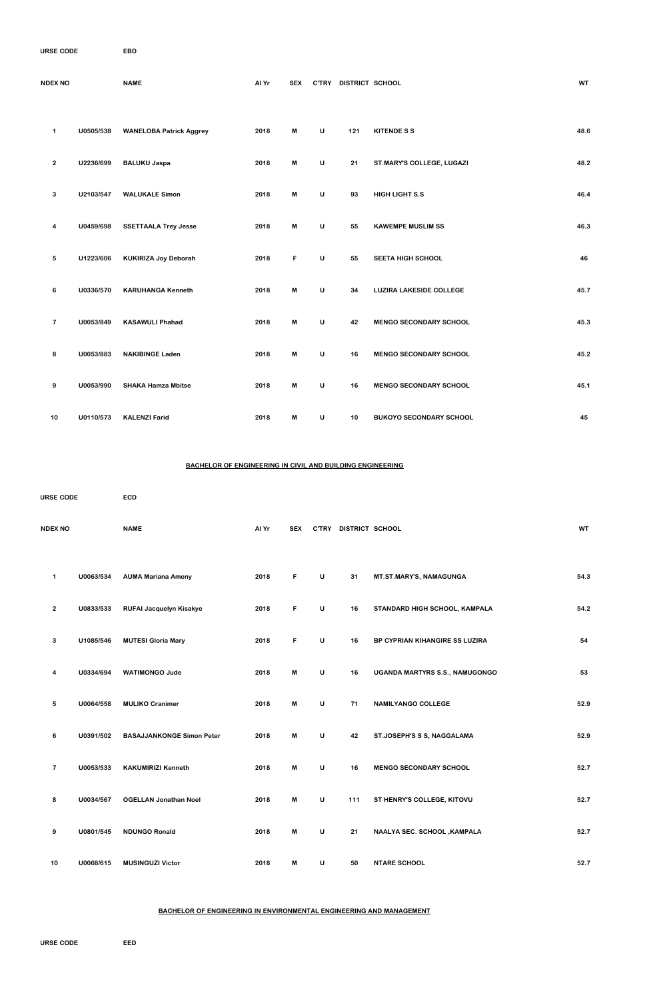**COURSE CODE EBD**

| <b>NDEX NO</b> |           | <b>NAME</b>                    | Al Yr | <b>SEX</b>                | <b>C'TRY</b> | DISTRICT SCHOOL |                                | <b>WT</b> |
|----------------|-----------|--------------------------------|-------|---------------------------|--------------|-----------------|--------------------------------|-----------|
| $\mathbf{1}$   | U0505/538 | <b>WANELOBA Patrick Aggrey</b> | 2018  | M                         | $\sf U$      | 121             | <b>KITENDE S S</b>             | 48.6      |
| $\mathbf{2}$   | U2236/699 | <b>BALUKU Jaspa</b>            | 2018  | $\boldsymbol{\mathsf{M}}$ | U            | 21              | ST.MARY'S COLLEGE, LUGAZI      | 48.2      |
| 3              | U2103/547 | <b>WALUKALE Simon</b>          | 2018  | M                         | $\cup$       | 93              | <b>HIGH LIGHT S.S</b>          | 46.4      |
| 4              | U0459/698 | <b>SSETTAALA Trey Jesse</b>    | 2018  | M                         | $\cup$       | 55              | <b>KAWEMPE MUSLIM SS</b>       | 46.3      |
| 5              | U1223/606 | <b>KUKIRIZA Joy Deborah</b>    | 2018  | F                         | $\cup$       | 55              | <b>SEETA HIGH SCHOOL</b>       | 46        |
| 6              | U0336/570 | <b>KARUHANGA Kenneth</b>       | 2018  | M                         | U            | 34              | <b>LUZIRA LAKESIDE COLLEGE</b> | 45.7      |
| $\overline{7}$ | U0053/849 | <b>KASAWULI Phahad</b>         | 2018  | M                         | U            | 42              | <b>MENGO SECONDARY SCHOOL</b>  | 45.3      |
| 8              | U0053/883 | <b>NAKIBINGE Laden</b>         | 2018  | M                         | $\cup$       | 16              | <b>MENGO SECONDARY SCHOOL</b>  | 45.2      |
| 9              | U0053/990 | <b>SHAKA Hamza Mbitse</b>      | 2018  | M                         | $\sf U$      | 16              | <b>MENGO SECONDARY SCHOOL</b>  | 45.1      |
| 10             | U0110/573 | <b>KALENZI Farid</b>           | 2018  | M                         | $\sf U$      | 10              | <b>BUKOYO SECONDARY SCHOOL</b> | 45        |

### **BACHELOR OF ENGINEERING IN CIVIL AND BUILDING ENGINEERING**

| <b>URSE CODE</b>        |           | ECD                              |       |            |   |                       |                                |           |
|-------------------------|-----------|----------------------------------|-------|------------|---|-----------------------|--------------------------------|-----------|
| <b>NDEX NO</b>          |           | <b>NAME</b>                      | Al Yr | <b>SEX</b> |   | C'TRY DISTRICT SCHOOL |                                | <b>WT</b> |
| 1                       | U0063/534 | <b>AUMA Mariana Ameny</b>        | 2018  | F          | U | 31                    | MT.ST.MARY'S, NAMAGUNGA        | 54.3      |
| $\mathbf{2}$            | U0833/533 | <b>RUFAI Jacquelyn Kisakye</b>   | 2018  | F          | U | 16                    | STANDARD HIGH SCHOOL, KAMPALA  | 54.2      |
| 3                       | U1085/546 | <b>MUTESI Gloria Mary</b>        | 2018  | F          | U | 16                    | BP CYPRIAN KIHANGIRE SS LUZIRA | 54        |
| 4                       | U0334/694 | <b>WATIMONGO Jude</b>            | 2018  | M          | U | 16                    | UGANDA MARTYRS S.S., NAMUGONGO | 53        |
| 5                       | U0064/558 | <b>MULIKO Cranimer</b>           | 2018  | M          | U | 71                    | <b>NAMILYANGO COLLEGE</b>      | 52.9      |
| 6                       | U0391/502 | <b>BASAJJANKONGE Simon Peter</b> | 2018  | M          | U | 42                    | ST.JOSEPH'S S S, NAGGALAMA     | 52.9      |
| $\overline{\mathbf{r}}$ | U0053/533 | <b>KAKUMIRIZI Kenneth</b>        | 2018  | M          | U | 16                    | <b>MENGO SECONDARY SCHOOL</b>  | 52.7      |
| 8                       | U0034/567 | <b>OGELLAN Jonathan Noel</b>     | 2018  | M          | U | 111                   | ST HENRY'S COLLEGE, KITOVU     | 52.7      |
| 9                       | U0801/545 | <b>NDUNGO Ronald</b>             | 2018  | M          | U | 21                    | NAALYA SEC. SCHOOL, KAMPALA    | 52.7      |
| 10                      | U0068/615 | <b>MUSINGUZI Victor</b>          | 2018  | M          | U | 50                    | <b>NTARE SCHOOL</b>            | 52.7      |

### **BACHELOR OF ENGINEERING IN ENVIRONMENTAL ENGINEERING AND MANAGEMENT**

**COURSE CODE EED**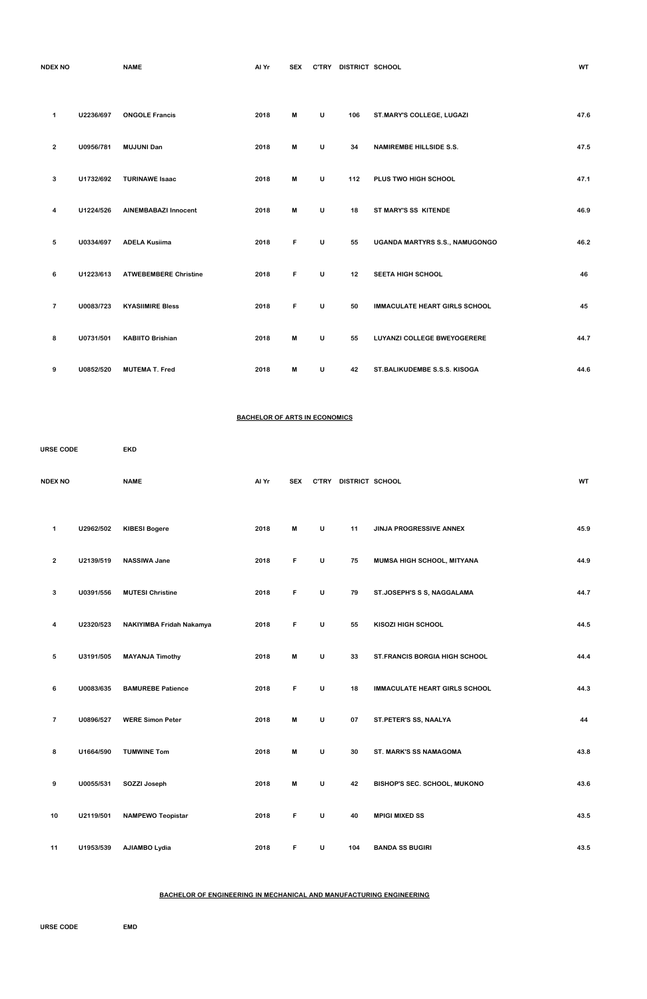| <b>NDEX NO</b> |  |  |
|----------------|--|--|
|                |  |  |

**INDERIGHT SEX CTRY DISTRICT SCHOOL ALLOCATE SEX WT** 

| 1              | U2236/697 | <b>ONGOLE Francis</b>        | 2018 | M | U       | 106 | ST.MARY'S COLLEGE, LUGAZI            | 47.6 |
|----------------|-----------|------------------------------|------|---|---------|-----|--------------------------------------|------|
| $\overline{2}$ | U0956/781 | <b>MUJUNI Dan</b>            | 2018 | M | U       | 34  | <b>NAMIREMBE HILLSIDE S.S.</b>       | 47.5 |
| 3              | U1732/692 | <b>TURINAWE Isaac</b>        | 2018 | M | U       | 112 | PLUS TWO HIGH SCHOOL                 | 47.1 |
| 4              | U1224/526 | <b>AINEMBABAZI Innocent</b>  | 2018 | M | $\sf U$ | 18  | ST MARY'S SS KITENDE                 | 46.9 |
| 5              | U0334/697 | <b>ADELA Kusiima</b>         | 2018 | F | U       | 55  | UGANDA MARTYRS S.S., NAMUGONGO       | 46.2 |
| 6              | U1223/613 | <b>ATWEBEMBERE Christine</b> | 2018 | F | U       | 12  | <b>SEETA HIGH SCHOOL</b>             | 46   |
| $\overline{7}$ | U0083/723 | <b>KYASIIMIRE Bless</b>      | 2018 | F | U       | 50  | <b>IMMACULATE HEART GIRLS SCHOOL</b> | 45   |
| 8              | U0731/501 | <b>KABIITO Brishian</b>      | 2018 | M | U       | 55  | LUYANZI COLLEGE BWEYOGERERE          | 44.7 |
| 9              | U0852/520 | <b>MUTEMA T. Fred</b>        | 2018 | М | U       | 42  | ST.BALIKUDEMBE S.S.S. KISOGA         | 44.6 |

## **BACHELOR OF ARTS IN ECONOMICS**

| <b>URSE CODE</b> |           | <b>EKD</b>               |       |            |              |                 |                                      |           |
|------------------|-----------|--------------------------|-------|------------|--------------|-----------------|--------------------------------------|-----------|
| <b>NDEX NO</b>   |           | <b>NAME</b>              | Al Yr | <b>SEX</b> | <b>C'TRY</b> | DISTRICT SCHOOL |                                      | <b>WT</b> |
| 1                | U2962/502 | <b>KIBESI Bogere</b>     | 2018  | M          | U            | 11              | JINJA PROGRESSIVE ANNEX              | 45.9      |
| $\mathbf{2}$     | U2139/519 | <b>NASSIWA Jane</b>      | 2018  | F          | U            | 75              | MUMSA HIGH SCHOOL, MITYANA           | 44.9      |
| 3                | U0391/556 | <b>MUTESI Christine</b>  | 2018  | F          | U            | 79              | ST.JOSEPH'S S S, NAGGALAMA           | 44.7      |
| 4                | U2320/523 | NAKIYIMBA Fridah Nakamya | 2018  | F          | U            | 55              | <b>KISOZI HIGH SCHOOL</b>            | 44.5      |
| 5                | U3191/505 | <b>MAYANJA Timothy</b>   | 2018  | M          | U            | 33              | <b>ST.FRANCIS BORGIA HIGH SCHOOL</b> | 44.4      |
| 6                | U0083/635 | <b>BAMUREBE Patience</b> | 2018  | F          | U            | 18              | <b>IMMACULATE HEART GIRLS SCHOOL</b> | 44.3      |
| $\overline{7}$   | U0896/527 | <b>WERE Simon Peter</b>  | 2018  | M          | U            | 07              | ST.PETER'S SS, NAALYA                | 44        |

| 8  | U1664/590 | <b>TUMWINE Tom</b>       | 2018 | M  | U | 30  | <b>ST. MARK'S SS NAMAGOMA</b>       | 43.8 |
|----|-----------|--------------------------|------|----|---|-----|-------------------------------------|------|
| 9  | U0055/531 | SOZZI Joseph             | 2018 | M  | U | 42  | <b>BISHOP'S SEC. SCHOOL, MUKONO</b> | 43.6 |
| 10 | U2119/501 | <b>NAMPEWO Teopistar</b> | 2018 | F. | U | 40  | <b>MPIGI MIXED SS</b>               | 43.5 |
| 11 | U1953/539 | AJIAMBO Lydia            | 2018 | F  | U | 104 | <b>BANDA SS BUGIRI</b>              | 43.5 |

# **BACHELOR OF ENGINEERING IN MECHANICAL AND MANUFACTURING ENGINEERING**

**COURSE CODE EMD**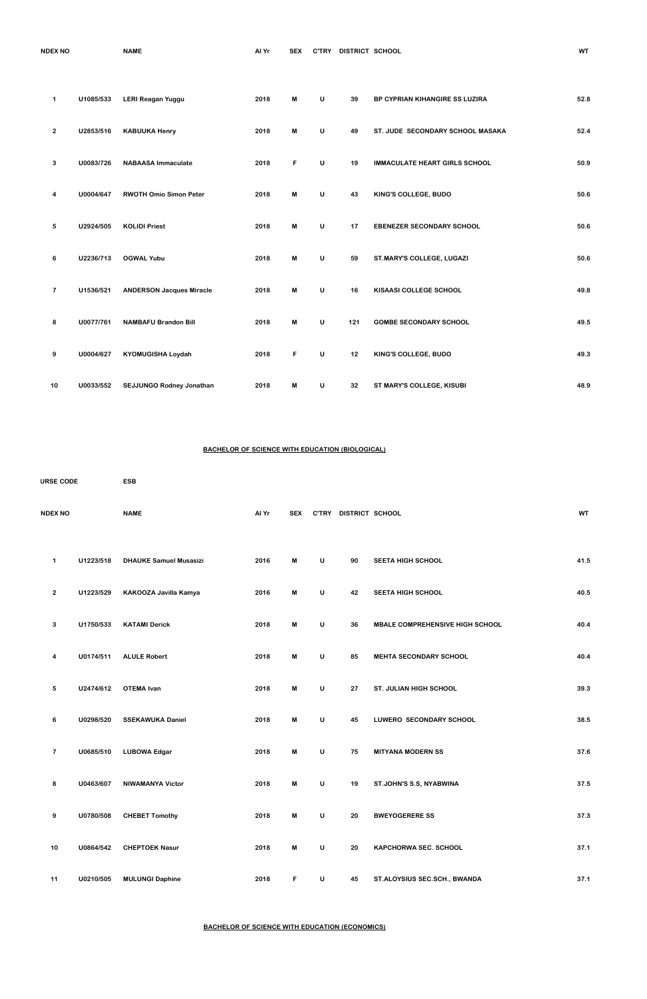| <b>NDEX NO</b> | <b>A 885</b><br>NAML | . . v.<br><u>лии</u> | <b>SEX</b> | <b>DISTRICT</b><br><b>SCHOOL</b><br><b>C'TRY</b> |  |
|----------------|----------------------|----------------------|------------|--------------------------------------------------|--|
|                |                      |                      |            |                                                  |  |

| 1              | U1085/533 | <b>LERI Reagan Yuggu</b>        | 2018 | M | U | 39  | BP CYPRIAN KIHANGIRE SS LUZIRA       | 52.8 |
|----------------|-----------|---------------------------------|------|---|---|-----|--------------------------------------|------|
| $\overline{2}$ | U2853/516 | <b>KABUUKA Henry</b>            | 2018 | M | U | 49  | ST. JUDE SECONDARY SCHOOL MASAKA     | 52.4 |
| 3              | U0083/726 | <b>NABAASA Immaculate</b>       | 2018 | F | U | 19  | <b>IMMACULATE HEART GIRLS SCHOOL</b> | 50.9 |
| 4              | U0004/647 | <b>RWOTH Omio Simon Peter</b>   | 2018 | M | U | 43  | KING'S COLLEGE, BUDO                 | 50.6 |
| 5              | U2924/505 | <b>KOLIDI Priest</b>            | 2018 | M | U | 17  | <b>EBENEZER SECONDARY SCHOOL</b>     | 50.6 |
| 6              | U2236/713 | <b>OGWAL Yubu</b>               | 2018 | M | U | 59  | ST.MARY'S COLLEGE, LUGAZI            | 50.6 |
| $\overline{7}$ | U1536/521 | <b>ANDERSON Jacques Miracle</b> | 2018 | M | U | 16  | KISAASI COLLEGE SCHOOL               | 49.8 |
| 8              | U0077/761 | <b>NAMBAFU Brandon Bill</b>     | 2018 | M | U | 121 | <b>GOMBE SECONDARY SCHOOL</b>        | 49.5 |
| 9              | U0004/627 | <b>KYOMUGISHA Loydah</b>        | 2018 | F | U | 12  | KING'S COLLEGE, BUDO                 | 49.3 |
| 10             | U0033/552 | <b>SEJJUNGO Rodney Jonathan</b> | 2018 | M | U | 32  | ST MARY'S COLLEGE, KISUBI            | 48.9 |

# **BACHELOR OF SCIENCE WITH EDUCATION (BIOLOGICAL)**

| <b>URSE CODE</b> |           | <b>ESB</b>                    |       |            |              |                 |                                        |           |
|------------------|-----------|-------------------------------|-------|------------|--------------|-----------------|----------------------------------------|-----------|
| <b>NDEX NO</b>   |           | <b>NAME</b>                   | Al Yr | <b>SEX</b> | <b>C'TRY</b> | DISTRICT SCHOOL |                                        | <b>WT</b> |
| 1                | U1223/518 | <b>DHAUKE Samuel Musasizi</b> | 2016  | M          | U            | 90              | <b>SEETA HIGH SCHOOL</b>               | 41.5      |
| $\mathbf{2}$     | U1223/529 | KAKOOZA Javilla Kamya         | 2016  | M          | U            | 42              | <b>SEETA HIGH SCHOOL</b>               | 40.5      |
| 3                | U1750/533 | <b>KATAMI Derick</b>          | 2018  | M          | U            | 36              | <b>MBALE COMPREHENSIVE HIGH SCHOOL</b> | 40.4      |
| 4                | U0174/511 | <b>ALULE Robert</b>           | 2018  | M          | U            | 85              | MEHTA SECONDARY SCHOOL                 | 40.4      |
| 5                | U2474/612 | <b>OTEMA Ivan</b>             | 2018  | M          | $\cup$       | 27              | <b>ST. JULIAN HIGH SCHOOL</b>          | 39.3      |
| 6                | U0298/520 | <b>SSEKAWUKA Daniel</b>       | 2018  | M          | U            | 45              | LUWERO SECONDARY SCHOOL                | 38.5      |

| 7  | U0685/510 | <b>LUBOWA Edgar</b>     | 2018 | M  | U | 75 | <b>MITYANA MODERN SS</b>     | 37.6 |
|----|-----------|-------------------------|------|----|---|----|------------------------------|------|
| 8  | U0463/607 | <b>NIWAMANYA Victor</b> | 2018 | M  | U | 19 | ST.JOHN'S S.S, NYABWINA      | 37.5 |
| 9  | U0780/508 | <b>CHEBET Tomothy</b>   | 2018 | M  | U | 20 | <b>BWEYOGERERE SS</b>        | 37.3 |
| 10 | U0864/542 | <b>CHEPTOEK Nasur</b>   | 2018 | M  | U | 20 | <b>KAPCHORWA SEC. SCHOOL</b> | 37.1 |
| 11 | U0210/505 | <b>MULUNGI Daphine</b>  | 2018 | F. | U | 45 | ST.ALOYSIUS SEC.SCH., BWANDA | 37.1 |

**BACHELOR OF SCIENCE WITH EDUCATION (ECONOMICS)**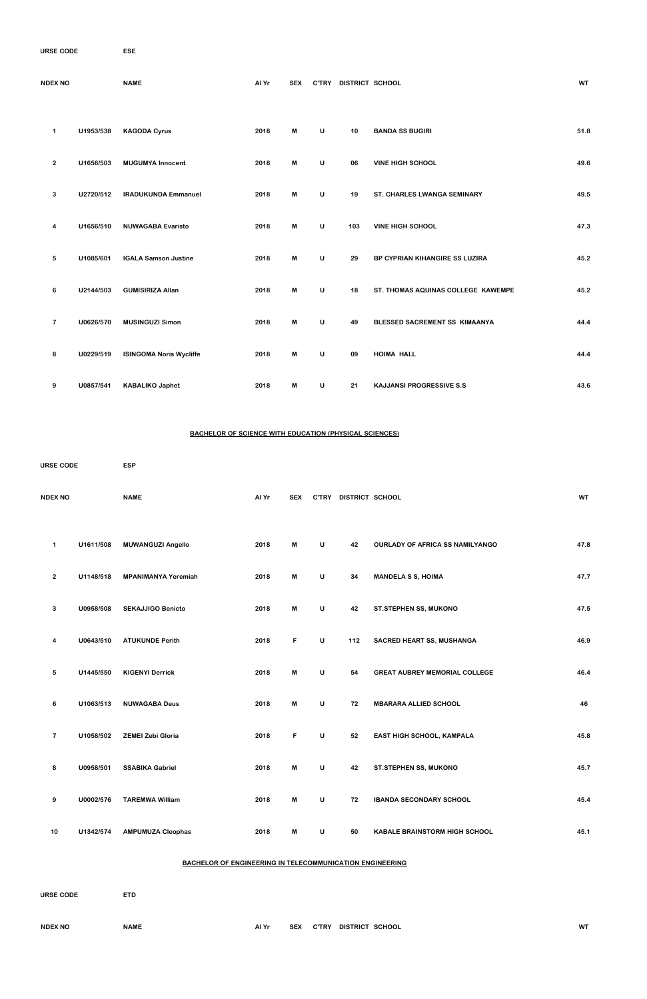| <b>URSE CODE</b> | <b>ESE</b> |
|------------------|------------|
|                  |            |

| <b>NDEX NO</b> |           | <b>NAME</b>                    | Al Yr | <b>SEX</b> | <b>C'TRY</b> | DISTRICT SCHOOL |                                    | <b>WT</b> |
|----------------|-----------|--------------------------------|-------|------------|--------------|-----------------|------------------------------------|-----------|
| $\mathbf{1}$   | U1953/538 | <b>KAGODA Cyrus</b>            | 2018  | M          | $\sf U$      | 10              | <b>BANDA SS BUGIRI</b>             | 51.8      |
|                |           |                                |       |            |              |                 |                                    |           |
| $\overline{2}$ | U1656/503 | <b>MUGUMYA Innocent</b>        | 2018  | M          | $\sf U$      | 06              | <b>VINE HIGH SCHOOL</b>            | 49.6      |
| 3              | U2720/512 | <b>IRADUKUNDA Emmanuel</b>     | 2018  | M          | $\sf U$      | 19              | ST. CHARLES LWANGA SEMINARY        | 49.5      |
| 4              | U1656/510 | <b>NUWAGABA Evaristo</b>       | 2018  | M          | $\sf U$      | 103             | <b>VINE HIGH SCHOOL</b>            | 47.3      |
| 5              | U1085/601 | <b>IGALA Samson Justine</b>    | 2018  | M          | $\sf U$      | 29              | BP CYPRIAN KIHANGIRE SS LUZIRA     | 45.2      |
| 6              | U2144/503 | <b>GUMISIRIZA Allan</b>        | 2018  | M          | $\sf U$      | 18              | ST. THOMAS AQUINAS COLLEGE KAWEMPE | 45.2      |
| $\overline{7}$ | U0626/570 | <b>MUSINGUZI Simon</b>         | 2018  | M          | $\mathsf{U}$ | 49              | BLESSED SACREMENT SS KIMAANYA      | 44.4      |
| 8              | U0229/519 | <b>ISINGOMA Noris Wycliffe</b> | 2018  | M          | $\sf U$      | 09              | <b>HOIMA HALL</b>                  | 44.4      |
| 9              | U0857/541 | <b>KABALIKO Japhet</b>         | 2018  | M          | U            | 21              | <b>KAJJANSI PROGRESSIVE S.S</b>    | 43.6      |

### **BACHELOR OF SCIENCE WITH EDUCATION (PHYSICAL SCIENCES)**

| <b>URSE CODE</b> |           | <b>ESP</b>                 |       |            |              |                 |                                        |           |
|------------------|-----------|----------------------------|-------|------------|--------------|-----------------|----------------------------------------|-----------|
| <b>NDEX NO</b>   |           | <b>NAME</b>                | Al Yr | <b>SEX</b> | <b>C'TRY</b> | DISTRICT SCHOOL |                                        | <b>WT</b> |
| 1                | U1611/508 | <b>MUWANGUZI Angello</b>   | 2018  | M          | $\cup$       | 42              | <b>OURLADY OF AFRICA SS NAMILYANGO</b> | 47.8      |
| $\overline{2}$   | U1148/518 | <b>MPANIMANYA Yeremiah</b> | 2018  | M          | $\sf U$      | 34              | <b>MANDELA S S, HOIMA</b>              | 47.7      |
| 3                | U0958/508 | <b>SEKAJJIGO Benicto</b>   | 2018  | M          | $\sf U$      | 42              | <b>ST.STEPHEN SS, MUKONO</b>           | 47.5      |
| 4                | U0643/510 | <b>ATUKUNDE Perith</b>     | 2018  | F.         | U            | 112             | <b>SACRED HEART SS, MUSHANGA</b>       | 46.9      |
| 5                | U1445/550 | <b>KIGENYI Derrick</b>     | 2018  | M          | $\sf U$      | 54              | <b>GREAT AUBREY MEMORIAL COLLEGE</b>   | 46.4      |
| 6                | U1063/513 | <b>NUWAGABA Deus</b>       | 2018  | M          | U            | 72              | <b>MBARARA ALLIED SCHOOL</b>           | 46        |
|                  |           |                            |       |            |              |                 |                                        |           |

|    | U1058/502 | <b>ZEMEI Zebi Gloria</b> | 2018 | F | U | 52 | <b>EAST HIGH SCHOOL, KAMPALA</b>     | 45.8 |
|----|-----------|--------------------------|------|---|---|----|--------------------------------------|------|
| 8  | U0958/501 | <b>SSABIKA Gabriel</b>   | 2018 | M | U | 42 | <b>ST.STEPHEN SS, MUKONO</b>         | 45.7 |
| 9  | U0002/576 | <b>TAREMWA William</b>   | 2018 | M | U | 72 | <b>IBANDA SECONDARY SCHOOL</b>       | 45.4 |
| 10 | U1342/574 | <b>AMPUMUZA Cleophas</b> | 2018 | M | U | 50 | <b>KABALE BRAINSTORM HIGH SCHOOL</b> | 45.1 |

# **BACHELOR OF ENGINEERING IN TELECOMMUNICATION ENGINEERING**

| <b>URSE CODE</b> | <b>ETD</b>  |       |            |              |                 |           |
|------------------|-------------|-------|------------|--------------|-----------------|-----------|
| <b>NDEX NO</b>   | <b>NAME</b> | Al Yr | <b>SEX</b> | <b>C'TRY</b> | DISTRICT SCHOOL | <b>WT</b> |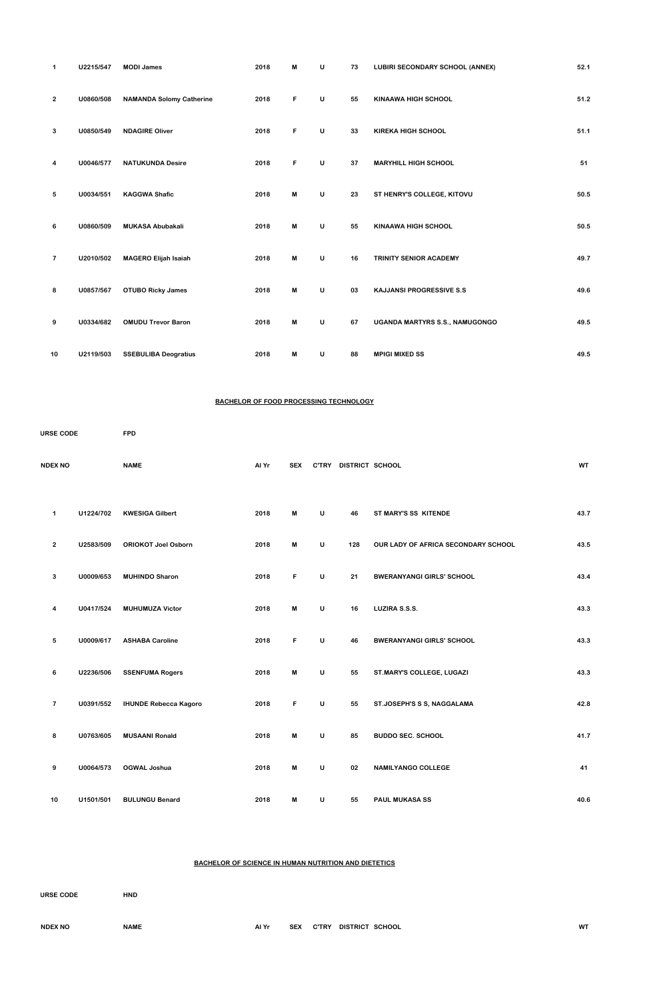| $\mathbf 1$             | U2215/547 | <b>MODI James</b>               | 2018 | M | U | 73 | <b>LUBIRI SECONDARY SCHOOL (ANNEX)</b> | 52.1 |
|-------------------------|-----------|---------------------------------|------|---|---|----|----------------------------------------|------|
| $\overline{2}$          | U0860/508 | <b>NAMANDA Solomy Catherine</b> | 2018 | F | U | 55 | <b>KINAAWA HIGH SCHOOL</b>             | 51.2 |
| 3                       | U0850/549 | <b>NDAGIRE Oliver</b>           | 2018 | F | U | 33 | <b>KIREKA HIGH SCHOOL</b>              | 51.1 |
| 4                       | U0046/577 | <b>NATUKUNDA Desire</b>         | 2018 | F | U | 37 | <b>MARYHILL HIGH SCHOOL</b>            | 51   |
| 5                       | U0034/551 | <b>KAGGWA Shafic</b>            | 2018 | M | U | 23 | ST HENRY'S COLLEGE, KITOVU             | 50.5 |
| 6                       | U0860/509 | <b>MUKASA Abubakali</b>         | 2018 | M | U | 55 | <b>KINAAWA HIGH SCHOOL</b>             | 50.5 |
| $\overline{\mathbf{r}}$ | U2010/502 | <b>MAGERO Elijah Isaiah</b>     | 2018 | M | U | 16 | TRINITY SENIOR ACADEMY                 | 49.7 |
| 8                       | U0857/567 | <b>OTUBO Ricky James</b>        | 2018 | M | U | 03 | <b>KAJJANSI PROGRESSIVE S.S</b>        | 49.6 |
| 9                       | U0334/682 | <b>OMUDU Trevor Baron</b>       | 2018 | M | U | 67 | UGANDA MARTYRS S.S., NAMUGONGO         | 49.5 |
| 10                      | U2119/503 | <b>SSEBULIBA Deogratius</b>     | 2018 | M | U | 88 | <b>MPIGI MIXED SS</b>                  | 49.5 |

#### **BACHELOR OF FOOD PROCESSING TECHNOLOGY**

| <b>URSE CODE</b>        |           | <b>FPD</b>                   |       |            |   |                       |                                     |           |
|-------------------------|-----------|------------------------------|-------|------------|---|-----------------------|-------------------------------------|-----------|
| <b>NDEX NO</b>          |           | <b>NAME</b>                  | Al Yr | <b>SEX</b> |   | C'TRY DISTRICT SCHOOL |                                     | <b>WT</b> |
| 1                       | U1224/702 | <b>KWESIGA Gilbert</b>       | 2018  | М          | U | 46                    | ST MARY'S SS KITENDE                | 43.7      |
| $\mathbf{2}$            | U2583/509 | <b>ORIOKOT Joel Osborn</b>   | 2018  | М          | U | 128                   | OUR LADY OF AFRICA SECONDARY SCHOOL | 43.5      |
| 3                       | U0009/653 | <b>MUHINDO Sharon</b>        | 2018  | F.         | U | 21                    | <b>BWERANYANGI GIRLS' SCHOOL</b>    | 43.4      |
| 4                       | U0417/524 | <b>MUHUMUZA Victor</b>       | 2018  | М          | U | 16                    | LUZIRA S.S.S.                       | 43.3      |
| 5                       | U0009/617 | <b>ASHABA Caroline</b>       | 2018  | F          | U | 46                    | <b>BWERANYANGI GIRLS' SCHOOL</b>    | 43.3      |
| 6                       | U2236/506 | <b>SSENFUMA Rogers</b>       | 2018  | M          | U | 55                    | ST.MARY'S COLLEGE, LUGAZI           | 43.3      |
| $\overline{\mathbf{r}}$ | U0391/552 | <b>IHUNDE Rebecca Kagoro</b> | 2018  | F          | U | 55                    | ST.JOSEPH'S S S, NAGGALAMA          | 42.8      |
|                         |           |                              |       |            |   |                       |                                     |           |

| 8  | U0763/605 | <b>MUSAANI Ronald</b> | 2018 | M | υ | 85 | <b>BUDDO SEC. SCHOOL</b>  | 41.7 |
|----|-----------|-----------------------|------|---|---|----|---------------------------|------|
| 9  | U0064/573 | OGWAL Joshua          | 2018 | M | U | 02 | <b>NAMILYANGO COLLEGE</b> | 41   |
| 10 | U1501/501 | <b>BULUNGU Benard</b> | 2018 | M | U | 55 | <b>PAUL MUKASA SS</b>     | 40.6 |

**BACHELOR OF SCIENCE IN HUMAN NUTRITION AND DIETETICS**

| <b>URSE CODE</b> | <b>HND</b>  |       |            |              |                 |    |
|------------------|-------------|-------|------------|--------------|-----------------|----|
| <b>NDEX NO</b>   | <b>NAME</b> | Al Yr | <b>SEX</b> | <b>C'TRY</b> | DISTRICT SCHOOL | WT |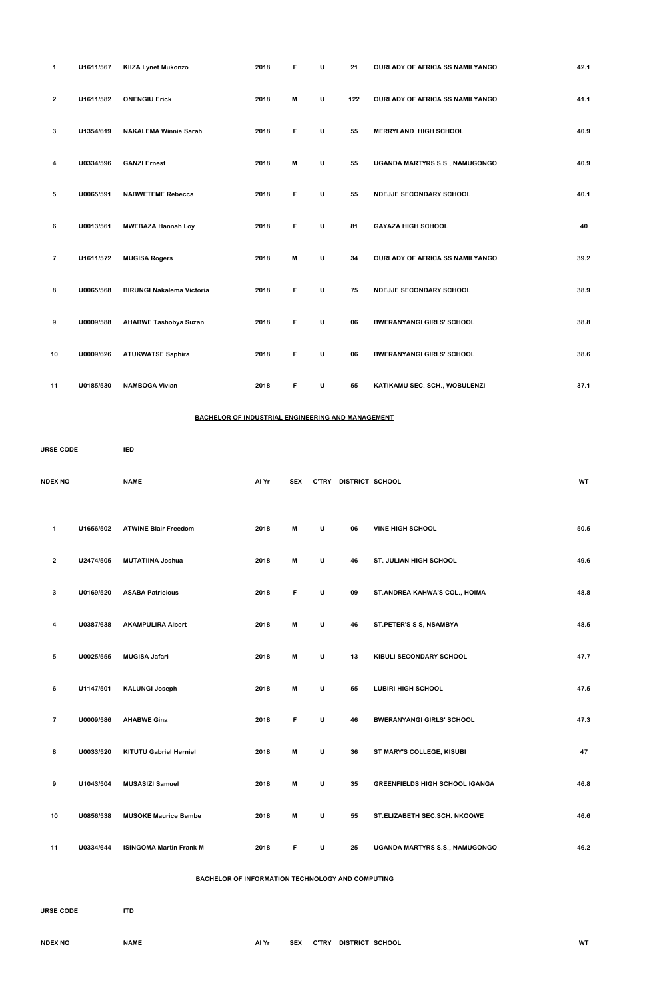| $\mathbf 1$    | U1611/567 | <b>KIIZA Lynet Mukonzo</b>       | 2018 | F | U | 21  | OURLADY OF AFRICA SS NAMILYANGO        | 42.1 |
|----------------|-----------|----------------------------------|------|---|---|-----|----------------------------------------|------|
| $\overline{2}$ | U1611/582 | <b>ONENGIU Erick</b>             | 2018 | M | U | 122 | <b>OURLADY OF AFRICA SS NAMILYANGO</b> | 41.1 |
| 3              | U1354/619 | <b>NAKALEMA Winnie Sarah</b>     | 2018 | F | U | 55  | <b>MERRYLAND HIGH SCHOOL</b>           | 40.9 |
| 4              | U0334/596 | <b>GANZI Ernest</b>              | 2018 | M | U | 55  | UGANDA MARTYRS S.S., NAMUGONGO         | 40.9 |
| 5              | U0065/591 | <b>NABWETEME Rebecca</b>         | 2018 | F | U | 55  | <b>NDEJJE SECONDARY SCHOOL</b>         | 40.1 |
| 6              | U0013/561 | <b>MWEBAZA Hannah Loy</b>        | 2018 | F | U | 81  | <b>GAYAZA HIGH SCHOOL</b>              | 40   |
| $\overline{7}$ | U1611/572 | <b>MUGISA Rogers</b>             | 2018 | M | U | 34  | <b>OURLADY OF AFRICA SS NAMILYANGO</b> | 39.2 |
| 8              | U0065/568 | <b>BIRUNGI Nakalema Victoria</b> | 2018 | F | U | 75  | NDEJJE SECONDARY SCHOOL                | 38.9 |
| 9              | U0009/588 | <b>AHABWE Tashobya Suzan</b>     | 2018 | F | U | 06  | <b>BWERANYANGI GIRLS' SCHOOL</b>       | 38.8 |
| 10             | U0009/626 | <b>ATUKWATSE Saphira</b>         | 2018 | F | U | 06  | <b>BWERANYANGI GIRLS' SCHOOL</b>       | 38.6 |
| 11             | U0185/530 | <b>NAMBOGA Vivian</b>            | 2018 | F | U | 55  | KATIKAMU SEC. SCH., WOBULENZI          | 37.1 |

# **BACHELOR OF INDUSTRIAL ENGINEERING AND MANAGEMENT**

| <b>URSE CODE</b>        |           | <b>IED</b>                  |       |            |              |                 |                                  |           |  |
|-------------------------|-----------|-----------------------------|-------|------------|--------------|-----------------|----------------------------------|-----------|--|
| <b>NDEX NO</b>          |           | <b>NAME</b>                 | Al Yr | <b>SEX</b> | <b>C'TRY</b> | DISTRICT SCHOOL |                                  | <b>WT</b> |  |
| 1                       | U1656/502 | <b>ATWINE Blair Freedom</b> | 2018  | M          | U            | 06              | <b>VINE HIGH SCHOOL</b>          | 50.5      |  |
| $\mathbf{2}$            | U2474/505 | <b>MUTATIINA Joshua</b>     | 2018  | M          | U            | 46              | <b>ST. JULIAN HIGH SCHOOL</b>    | 49.6      |  |
| 3                       | U0169/520 | <b>ASABA Patricious</b>     | 2018  | F          | U            | 09              | ST. ANDREA KAHWA'S COL., HOIMA   | 48.8      |  |
| 4                       | U0387/638 | <b>AKAMPULIRA Albert</b>    | 2018  | M          | U            | 46              | ST.PETER'S S S, NSAMBYA          | 48.5      |  |
| 5                       | U0025/555 | <b>MUGISA Jafari</b>        | 2018  | M          | U            | 13              | KIBULI SECONDARY SCHOOL          | 47.7      |  |
| 6                       | U1147/501 | <b>KALUNGI Joseph</b>       | 2018  | M          | U            | 55              | <b>LUBIRI HIGH SCHOOL</b>        | 47.5      |  |
| $\overline{\mathbf{r}}$ | U0009/586 | <b>AHABWE Gina</b>          | 2018  | F          | U            | 46              | <b>BWERANYANGI GIRLS' SCHOOL</b> | 47.3      |  |

| 8  | U0033/520 | <b>KITUTU Gabriel Herniel</b>  | 2018 | м | U | 36 | ST MARY'S COLLEGE, KISUBI             | 47   |
|----|-----------|--------------------------------|------|---|---|----|---------------------------------------|------|
| 9  | U1043/504 | <b>MUSASIZI Samuel</b>         | 2018 | M | U | 35 | <b>GREENFIELDS HIGH SCHOOL IGANGA</b> | 46.8 |
| 10 | U0856/538 | <b>MUSOKE Maurice Bembe</b>    | 2018 | M | U | 55 | <b>ST.ELIZABETH SEC.SCH. NKOOWE</b>   | 46.6 |
| 11 | U0334/644 | <b>ISINGOMA Martin Frank M</b> | 2018 | F | U | 25 | <b>UGANDA MARTYRS S.S., NAMUGONGO</b> | 46.2 |

# **BACHELOR OF INFORMATION TECHNOLOGY AND COMPUTING**

**COURSE CODE ITD**

| <b>NDEX NO</b> | NAME | Al Yr | <b>SEX</b> | <b>C'TRY</b> | DISTRICT SCHOOL | WT |
|----------------|------|-------|------------|--------------|-----------------|----|
|                |      |       |            |              |                 |    |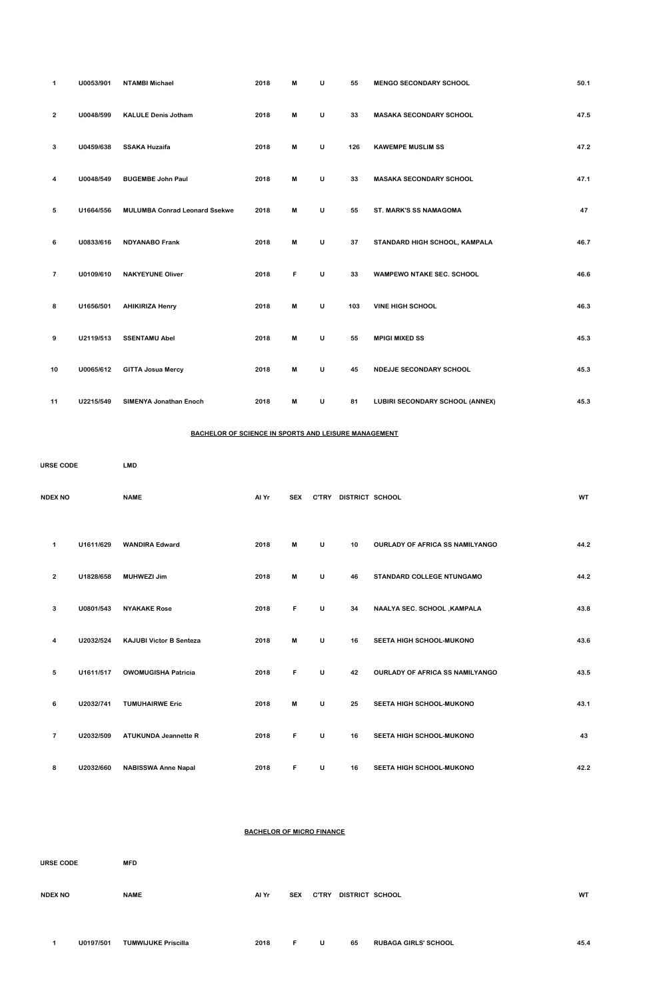| 1              | U0053/901 | <b>NTAMBI Michael</b>                | 2018 | M | U | 55  | <b>MENGO SECONDARY SCHOOL</b>          | 50.1 |
|----------------|-----------|--------------------------------------|------|---|---|-----|----------------------------------------|------|
| $\overline{2}$ | U0048/599 | <b>KALULE Denis Jotham</b>           | 2018 | M | U | 33  | <b>MASAKA SECONDARY SCHOOL</b>         | 47.5 |
| 3              | U0459/638 | <b>SSAKA Huzaifa</b>                 | 2018 | M | U | 126 | <b>KAWEMPE MUSLIM SS</b>               | 47.2 |
| 4              | U0048/549 | <b>BUGEMBE John Paul</b>             | 2018 | M | U | 33  | <b>MASAKA SECONDARY SCHOOL</b>         | 47.1 |
| 5              | U1664/556 | <b>MULUMBA Conrad Leonard Ssekwe</b> | 2018 | M | U | 55  | ST. MARK'S SS NAMAGOMA                 | 47   |
| 6              | U0833/616 | <b>NDYANABO Frank</b>                | 2018 | M | U | 37  | STANDARD HIGH SCHOOL, KAMPALA          | 46.7 |
| $\overline{7}$ | U0109/610 | <b>NAKYEYUNE Oliver</b>              | 2018 | F | U | 33  | <b>WAMPEWO NTAKE SEC. SCHOOL</b>       | 46.6 |
| 8              | U1656/501 | <b>AHIKIRIZA Henry</b>               | 2018 | M | U | 103 | <b>VINE HIGH SCHOOL</b>                | 46.3 |
| 9              | U2119/513 | <b>SSENTAMU Abel</b>                 | 2018 | M | U | 55  | <b>MPIGI MIXED SS</b>                  | 45.3 |
| 10             | U0065/612 | <b>GITTA Josua Mercy</b>             | 2018 | M | U | 45  | NDEJJE SECONDARY SCHOOL                | 45.3 |
| 11             | U2215/549 | <b>SIMENYA Jonathan Enoch</b>        | 2018 | M | U | 81  | <b>LUBIRI SECONDARY SCHOOL (ANNEX)</b> | 45.3 |

### **BACHELOR OF SCIENCE IN SPORTS AND LEISURE MANAGEMENT**

| <b>URSE CODE</b> |           | <b>LMD</b>                     |                                  |            |   |                           |                                        |      |
|------------------|-----------|--------------------------------|----------------------------------|------------|---|---------------------------|----------------------------------------|------|
| <b>NDEX NO</b>   |           | <b>NAME</b>                    | Al Yr                            | <b>SEX</b> |   | C'TRY DISTRICT SCHOOL     |                                        | WT   |
| $\mathbf 1$      | U1611/629 | <b>WANDIRA Edward</b>          | 2018                             | M          | U | 10                        | OURLADY OF AFRICA SS NAMILYANGO        | 44.2 |
| $\mathbf{2}$     | U1828/658 | <b>MUHWEZI Jim</b>             | 2018                             | M          | U | 46                        | STANDARD COLLEGE NTUNGAMO              | 44.2 |
| 3                | U0801/543 | <b>NYAKAKE Rose</b>            | 2018                             | F          | U | 34                        | NAALYA SEC. SCHOOL, KAMPALA            | 43.8 |
| 4                | U2032/524 | <b>KAJUBI Victor B Senteza</b> | 2018                             | M          | U | 16                        | SEETA HIGH SCHOOL-MUKONO               | 43.6 |
| 5                | U1611/517 | <b>OWOMUGISHA Patricia</b>     | 2018                             | F          | U | 42                        | <b>OURLADY OF AFRICA SS NAMILYANGO</b> | 43.5 |
| 6                | U2032/741 | <b>TUMUHAIRWE Eric</b>         | 2018                             | M          | U | 25                        | SEETA HIGH SCHOOL-MUKONO               | 43.1 |
| $\overline{7}$   | U2032/509 | <b>ATUKUNDA Jeannette R</b>    | 2018                             | F          | U | 16                        | SEETA HIGH SCHOOL-MUKONO               | 43   |
| 8                | U2032/660 | <b>NABISSWA Anne Napal</b>     | 2018                             | F          | U | 16                        | SEETA HIGH SCHOOL-MUKONO               | 42.2 |
|                  |           |                                |                                  |            |   |                           |                                        |      |
|                  |           |                                | <b>BACHELOR OF MICRO FINANCE</b> |            |   |                           |                                        |      |
| <b>URSE CODE</b> |           | <b>MFD</b>                     |                                  |            |   |                           |                                        |      |
| <b>NDEX NO</b>   |           | <b>NAME</b>                    | Al Yr                            |            |   | SEX C'TRY DISTRICT SCHOOL |                                        | WT   |

**U0197/501 TUMWIJUKE Priscilla 2018 F U 65 RUBAGA GIRLS' SCHOOL 45.4**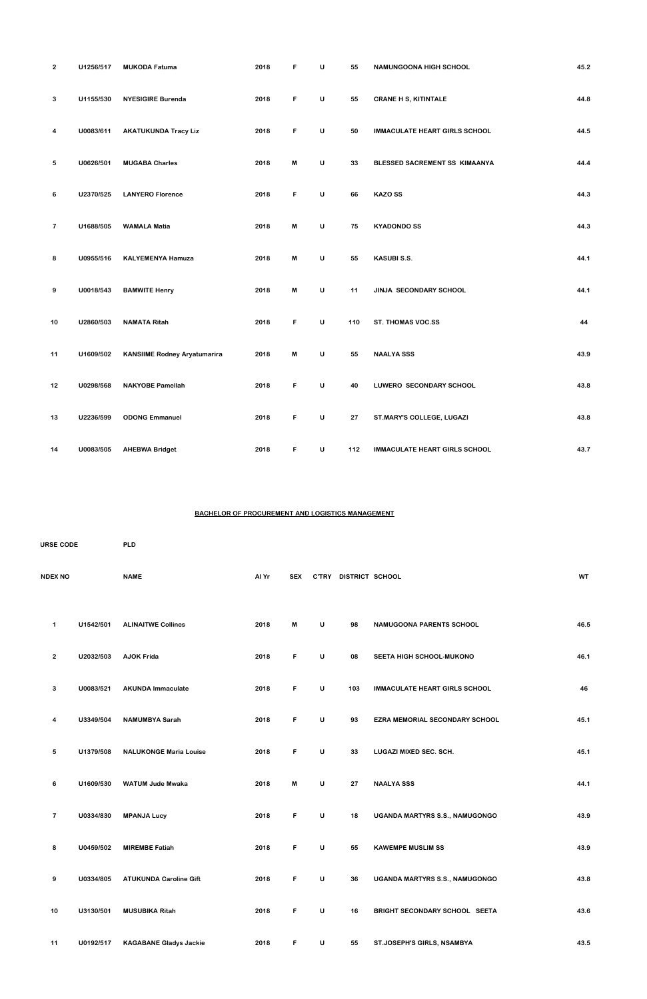| $\overline{2}$          | U1256/517 | <b>MUKODA Fatuma</b>                | 2018 | F                         | U | 55         | NAMUNGOONA HIGH SCHOOL               | 45.2 |
|-------------------------|-----------|-------------------------------------|------|---------------------------|---|------------|--------------------------------------|------|
| 3                       | U1155/530 | <b>NYESIGIRE Burenda</b>            | 2018 | F                         | U | 55         | <b>CRANE H S, KITINTALE</b>          | 44.8 |
| 4                       | U0083/611 | <b>AKATUKUNDA Tracy Liz</b>         | 2018 | F                         | U | 50         | <b>IMMACULATE HEART GIRLS SCHOOL</b> | 44.5 |
| 5                       | U0626/501 | <b>MUGABA Charles</b>               | 2018 | M                         | U | 33         | BLESSED SACREMENT SS KIMAANYA        | 44.4 |
| 6                       | U2370/525 | <b>LANYERO Florence</b>             | 2018 | F                         | U | 66         | <b>KAZO SS</b>                       | 44.3 |
| $\overline{\mathbf{r}}$ | U1688/505 | <b>WAMALA Matia</b>                 | 2018 | M                         | U | 75         | <b>KYADONDO SS</b>                   | 44.3 |
| 8                       | U0955/516 | <b>KALYEMENYA Hamuza</b>            | 2018 | M                         | U | 55         | <b>KASUBI S.S.</b>                   | 44.1 |
| 9                       | U0018/543 | <b>BAMWITE Henry</b>                | 2018 | $\boldsymbol{\mathsf{M}}$ | U | 11         | JINJA SECONDARY SCHOOL               | 44.1 |
| 10                      | U2860/503 | <b>NAMATA Ritah</b>                 | 2018 | F                         | U | 110        | ST. THOMAS VOC.SS                    | 44   |
| 11                      | U1609/502 | <b>KANSIIME Rodney Aryatumarira</b> | 2018 | $\boldsymbol{\mathsf{M}}$ | U | 55         | <b>NAALYA SSS</b>                    | 43.9 |
| 12                      | U0298/568 | <b>NAKYOBE Pamellah</b>             | 2018 | F                         | U | 40         | LUWERO SECONDARY SCHOOL              | 43.8 |
| 13                      | U2236/599 | <b>ODONG Emmanuel</b>               | 2018 | F                         | U | ${\bf 27}$ | ST.MARY'S COLLEGE, LUGAZI            | 43.8 |
| 14                      | U0083/505 | <b>AHEBWA Bridget</b>               | 2018 | F                         | U | 112        | <b>IMMACULATE HEART GIRLS SCHOOL</b> | 43.7 |

# **BACHELOR OF PROCUREMENT AND LOGISTICS MANAGEMENT**

| <b>URSE CODE</b> |                |           | <b>PLD</b>                |       |            |              |                 |                                       |           |  |  |  |
|------------------|----------------|-----------|---------------------------|-------|------------|--------------|-----------------|---------------------------------------|-----------|--|--|--|
|                  | <b>NDEX NO</b> |           | <b>NAME</b>               | Al Yr | <b>SEX</b> | <b>C'TRY</b> | DISTRICT SCHOOL |                                       | <b>WT</b> |  |  |  |
|                  | 1              | U1542/501 | <b>ALINAITWE Collines</b> | 2018  | M          | U            | 98              | <b>NAMUGOONA PARENTS SCHOOL</b>       | 46.5      |  |  |  |
|                  | $\overline{2}$ | U2032/503 | <b>AJOK Frida</b>         | 2018  | F.         | U            | 08              | <b>SEETA HIGH SCHOOL-MUKONO</b>       | 46.1      |  |  |  |
|                  | 3              | U0083/521 | <b>AKUNDA Immaculate</b>  | 2018  | F          | $\cup$       | 103             | <b>IMMACULATE HEART GIRLS SCHOOL</b>  | 46        |  |  |  |
|                  | 4              | U3349/504 | <b>NAMUMBYA Sarah</b>     | 2018  | F          | U            | 93              | <b>EZRA MEMORIAL SECONDARY SCHOOL</b> | 45.1      |  |  |  |

| 5              | U1379/508 | <b>NALUKONGE Maria Louise</b> | 2018 | F  | U | 33 | LUGAZI MIXED SEC. SCH.                | 45.1 |
|----------------|-----------|-------------------------------|------|----|---|----|---------------------------------------|------|
| 6              | U1609/530 | <b>WATUM Jude Mwaka</b>       | 2018 | M  | U | 27 | <b>NAALYA SSS</b>                     | 44.1 |
| $\overline{7}$ | U0334/830 | <b>MPANJA Lucy</b>            | 2018 | F  | U | 18 | <b>UGANDA MARTYRS S.S., NAMUGONGO</b> | 43.9 |
| 8              | U0459/502 | <b>MIREMBE Fatiah</b>         | 2018 | F. | U | 55 | <b>KAWEMPE MUSLIM SS</b>              | 43.9 |
| 9              | U0334/805 | <b>ATUKUNDA Caroline Gift</b> | 2018 | F  | U | 36 | <b>UGANDA MARTYRS S.S., NAMUGONGO</b> | 43.8 |
| 10             | U3130/501 | <b>MUSUBIKA Ritah</b>         | 2018 | F  | U | 16 | BRIGHT SECONDARY SCHOOL SEETA         | 43.6 |
| 11             | U0192/517 | <b>KAGABANE Gladys Jackie</b> | 2018 | F  | U | 55 | <b>ST.JOSEPH'S GIRLS, NSAMBYA</b>     | 43.5 |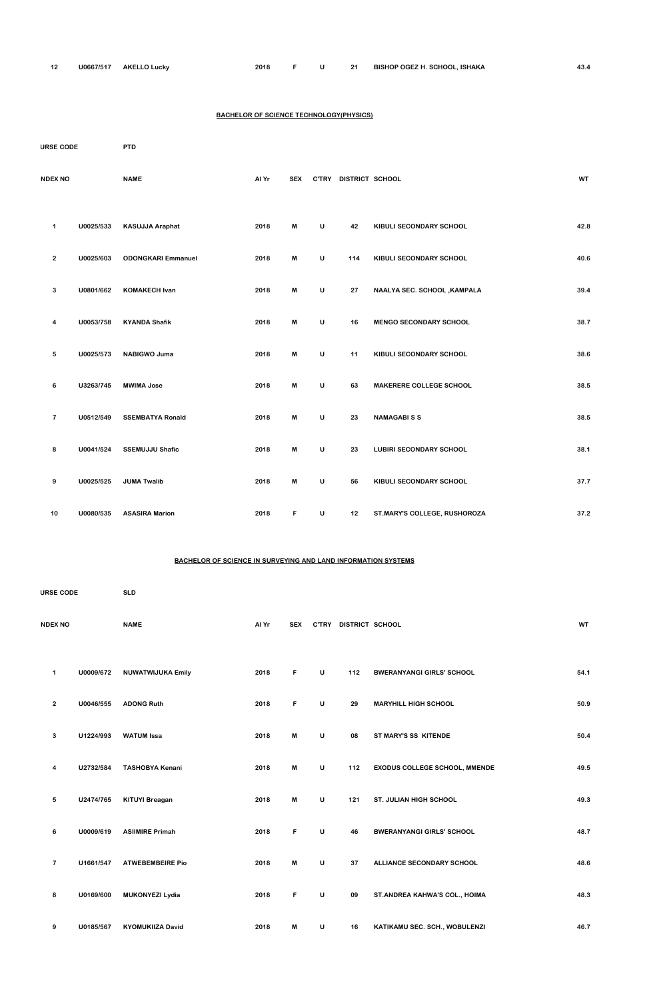| -40 | J0667/517 | <b>AKELL C</b><br>ີ Luckv | 2018 |  |  |  | ' SCHOOL.<br>. ISHAKA<br><b>BISHOP OGEZ H.</b> | $\sim$<br>40.4 |
|-----|-----------|---------------------------|------|--|--|--|------------------------------------------------|----------------|
|-----|-----------|---------------------------|------|--|--|--|------------------------------------------------|----------------|

#### **BACHELOR OF SCIENCE TECHNOLOGY(PHYSICS)**

| <b>URSE CODE</b>        |           | <b>PTD</b>                |       |            |              |                       |                                |           |
|-------------------------|-----------|---------------------------|-------|------------|--------------|-----------------------|--------------------------------|-----------|
| <b>NDEX NO</b>          |           | <b>NAME</b>               | Al Yr | <b>SEX</b> |              | C'TRY DISTRICT SCHOOL |                                | <b>WT</b> |
| 1                       | U0025/533 | KASUJJA Araphat           | 2018  | M          | U            | 42                    | KIBULI SECONDARY SCHOOL        | 42.8      |
| $\overline{2}$          | U0025/603 | <b>ODONGKARI Emmanuel</b> | 2018  | M          | U            | 114                   | KIBULI SECONDARY SCHOOL        | 40.6      |
| 3                       | U0801/662 | <b>KOMAKECH Ivan</b>      | 2018  | M          | U            | 27                    | NAALYA SEC. SCHOOL, KAMPALA    | 39.4      |
| 4                       | U0053/758 | <b>KYANDA Shafik</b>      | 2018  | M          | U            | 16                    | <b>MENGO SECONDARY SCHOOL</b>  | 38.7      |
| 5                       | U0025/573 | <b>NABIGWO Juma</b>       | 2018  | M          | $\mathsf{U}$ | 11                    | KIBULI SECONDARY SCHOOL        | 38.6      |
| 6                       | U3263/745 | <b>MWIMA Jose</b>         | 2018  | M          | U            | 63                    | MAKERERE COLLEGE SCHOOL        | 38.5      |
| $\overline{\mathbf{7}}$ | U0512/549 | <b>SSEMBATYA Ronald</b>   | 2018  | M          | U            | 23                    | <b>NAMAGABISS</b>              | 38.5      |
| 8                       | U0041/524 | <b>SSEMUJJU Shafic</b>    | 2018  | M          | U            | 23                    | <b>LUBIRI SECONDARY SCHOOL</b> | 38.1      |
| 9                       | U0025/525 | <b>JUMA Twalib</b>        | 2018  | M          | U            | 56                    | KIBULI SECONDARY SCHOOL        | 37.7      |
| 10                      | U0080/535 | <b>ASASIRA Marion</b>     | 2018  | F          | $\sf U$      | 12                    | ST.MARY'S COLLEGE, RUSHOROZA   | 37.2      |

#### **BACHELOR OF SCIENCE IN SURVEYING AND LAND INFORMATION SYSTEMS**

| <b>URSE CODE</b> |           | <b>SLD</b>               |       |            |              |                 |                                      |      |
|------------------|-----------|--------------------------|-------|------------|--------------|-----------------|--------------------------------------|------|
| <b>NDEX NO</b>   |           | <b>NAME</b>              | Al Yr | <b>SEX</b> | <b>C'TRY</b> | DISTRICT SCHOOL |                                      | WT   |
| 1                | U0009/672 | <b>NUWATWIJUKA Emily</b> | 2018  | F          | U            | 112             | <b>BWERANYANGI GIRLS' SCHOOL</b>     | 54.1 |
| $\mathbf{2}$     | U0046/555 | <b>ADONG Ruth</b>        | 2018  | F          | U            | 29              | <b>MARYHILL HIGH SCHOOL</b>          | 50.9 |
| 3                | U1224/993 | <b>WATUM Issa</b>        | 2018  | M          | U            | 08              | ST MARY'S SS KITENDE                 | 50.4 |
| 4                | U2732/584 | <b>TASHOBYA Kenani</b>   | 2018  | M          | U            | 112             | <b>EXODUS COLLEGE SCHOOL, MMENDE</b> | 49.5 |
| 5                | U2474/765 | <b>KITUYI Breagan</b>    | 2018  | M          | U            | 121             | <b>ST. JULIAN HIGH SCHOOL</b>        | 49.3 |
| 6                | U0009/619 | <b>ASIIMIRE Primah</b>   | 2018  | F          | U            | 46              | <b>BWERANYANGI GIRLS' SCHOOL</b>     | 48.7 |
| $\overline{7}$   | U1661/547 | <b>ATWEBEMBEIRE Pio</b>  | 2018  | M          | U            | 37              | ALLIANCE SECONDARY SCHOOL            | 48.6 |
| 8                | U0169/600 | <b>MUKONYEZI Lydia</b>   | 2018  | F          | U            | 09              | ST. ANDREA KAHWA'S COL., HOIMA       | 48.3 |
| 9                | U0185/567 | <b>KYOMUKIIZA David</b>  | 2018  | M          | U            | 16              | KATIKAMU SEC. SCH., WOBULENZI        | 46.7 |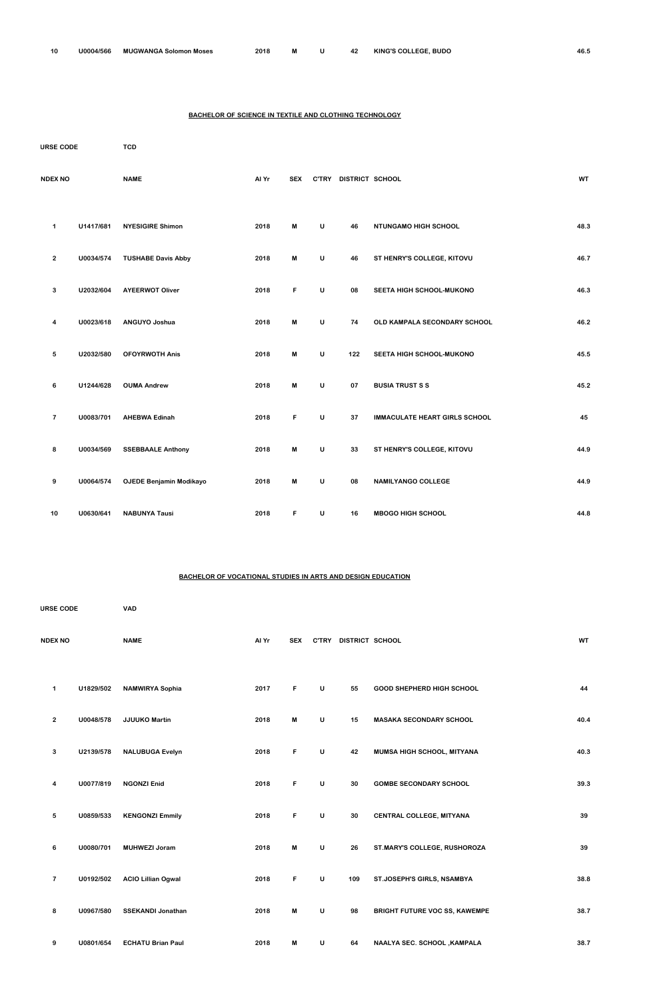### **BACHELOR OF SCIENCE IN TEXTILE AND CLOTHING TECHNOLOGY**

| <b>URSE CODE</b> |                         |           | <b>TCD</b>                     |       |            |              |                       |                                      |           |
|------------------|-------------------------|-----------|--------------------------------|-------|------------|--------------|-----------------------|--------------------------------------|-----------|
| <b>NDEX NO</b>   |                         |           | <b>NAME</b>                    | Al Yr | <b>SEX</b> |              | C'TRY DISTRICT SCHOOL |                                      | <b>WT</b> |
|                  | 1                       | U1417/681 | <b>NYESIGIRE Shimon</b>        | 2018  | M          | U            | 46                    | NTUNGAMO HIGH SCHOOL                 | 48.3      |
|                  | $\mathbf{2}$            | U0034/574 | <b>TUSHABE Davis Abby</b>      | 2018  | M          | U            | 46                    | ST HENRY'S COLLEGE, KITOVU           | 46.7      |
|                  | 3                       | U2032/604 | <b>AYEERWOT Oliver</b>         | 2018  | F          | $\mathsf{U}$ | 08                    | SEETA HIGH SCHOOL-MUKONO             | 46.3      |
|                  | 4                       | U0023/618 | ANGUYO Joshua                  | 2018  | М          | U            | 74                    | OLD KAMPALA SECONDARY SCHOOL         | 46.2      |
|                  | 5                       | U2032/580 | <b>OFOYRWOTH Anis</b>          | 2018  | M          | U            | 122                   | SEETA HIGH SCHOOL-MUKONO             | 45.5      |
|                  | 6                       | U1244/628 | <b>OUMA Andrew</b>             | 2018  | M          | $\mathsf{U}$ | 07                    | <b>BUSIA TRUST S S</b>               | 45.2      |
|                  | $\overline{\mathbf{r}}$ | U0083/701 | <b>AHEBWA Edinah</b>           | 2018  | F          | U            | 37                    | <b>IMMACULATE HEART GIRLS SCHOOL</b> | 45        |
|                  | 8                       | U0034/569 | <b>SSEBBAALE Anthony</b>       | 2018  | M          | U            | 33                    | ST HENRY'S COLLEGE, KITOVU           | 44.9      |
|                  | 9                       | U0064/574 | <b>OJEDE Benjamin Modikayo</b> | 2018  | M          | U            | 08                    | <b>NAMILYANGO COLLEGE</b>            | 44.9      |
|                  | 10                      | U0630/641 | <b>NABUNYA Tausi</b>           | 2018  | F          | U            | 16                    | <b>MBOGO HIGH SCHOOL</b>             | 44.8      |

### **BACHELOR OF VOCATIONAL STUDIES IN ARTS AND DESIGN EDUCATION**

| <b>URSE CODE</b> |                |           | <b>VAD</b>             |       |            |              |                 |                                  |      |
|------------------|----------------|-----------|------------------------|-------|------------|--------------|-----------------|----------------------------------|------|
|                  | <b>NDEX NO</b> |           | <b>NAME</b>            | Al Yr | <b>SEX</b> | <b>C'TRY</b> | DISTRICT SCHOOL |                                  | WT   |
|                  | 1              | U1829/502 | <b>NAMWIRYA Sophia</b> | 2017  | F          | U            | 55              | <b>GOOD SHEPHERD HIGH SCHOOL</b> | 44   |
|                  | 2              | U0048/578 | <b>JJUUKO Martin</b>   | 2018  | M          | U            | 15              | <b>MASAKA SECONDARY SCHOOL</b>   | 40.4 |

| 3              | U2139/578 | <b>NALUBUGA Evelyn</b>    | 2018 | F | U | 42  | MUMSA HIGH SCHOOL, MITYANA           | 40.3 |
|----------------|-----------|---------------------------|------|---|---|-----|--------------------------------------|------|
| 4              | U0077/819 | <b>NGONZI Enid</b>        | 2018 | F | U | 30  | <b>GOMBE SECONDARY SCHOOL</b>        | 39.3 |
| 5              | U0859/533 | <b>KENGONZI Emmily</b>    | 2018 | F | U | 30  | CENTRAL COLLEGE, MITYANA             | 39   |
| 6              | U0080/701 | <b>MUHWEZI Joram</b>      | 2018 | M | U | 26  | ST.MARY'S COLLEGE, RUSHOROZA         | 39   |
| $\overline{7}$ | U0192/502 | <b>ACIO Lillian Ogwal</b> | 2018 | F | U | 109 | ST.JOSEPH'S GIRLS, NSAMBYA           | 38.8 |
| 8              | U0967/580 | <b>SSEKANDI Jonathan</b>  | 2018 | M | U | 98  | <b>BRIGHT FUTURE VOC SS, KAWEMPE</b> | 38.7 |
| 9              | U0801/654 | <b>ECHATU Brian Paul</b>  | 2018 | M | U | 64  | NAALYA SEC. SCHOOL, KAMPALA          | 38.7 |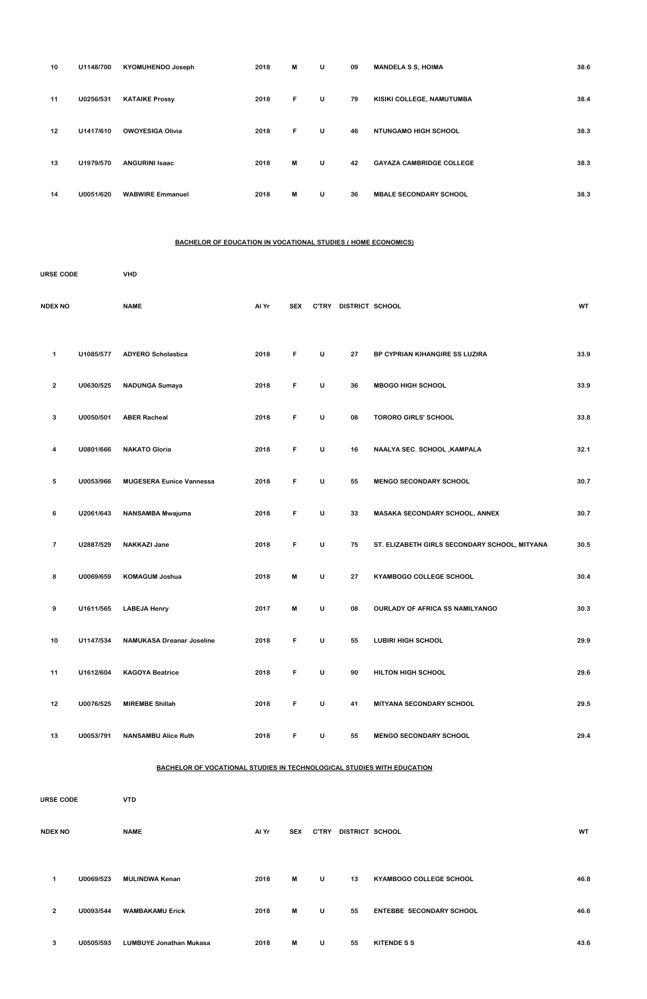| 10 | U1148/700 | <b>KYOMUHENDO Joseph</b> | 2018 | M  | U | 09 | <b>MANDELA S S, HOIMA</b>       | 38.6 |
|----|-----------|--------------------------|------|----|---|----|---------------------------------|------|
| 11 | U0256/531 | <b>KATAIKE Prossy</b>    | 2018 | F. | U | 79 | KISIKI COLLEGE, NAMUTUMBA       | 38.4 |
| 12 | U1417/610 | <b>OWOYESIGA Olivia</b>  | 2018 | F. | U | 46 | <b>NTUNGAMO HIGH SCHOOL</b>     | 38.3 |
| 13 | U1979/570 | <b>ANGURINI Isaac</b>    | 2018 | M  | U | 42 | <b>GAYAZA CAMBRIDGE COLLEGE</b> | 38.3 |
| 14 | U0051/620 | <b>WABWIRE Emmanuel</b>  | 2018 | M  | U | 36 | <b>MBALE SECONDARY SCHOOL</b>   | 38.3 |

#### **BACHELOR OF EDUCATION IN VOCATIONAL STUDIES ( HOME ECONOMICS)**

| <b>URSE CODE</b> |           | <b>VHD</b>                       |       |            |   |                       |                                               |           |
|------------------|-----------|----------------------------------|-------|------------|---|-----------------------|-----------------------------------------------|-----------|
| <b>NDEX NO</b>   |           | <b>NAME</b>                      | Al Yr | <b>SEX</b> |   | C'TRY DISTRICT SCHOOL |                                               | <b>WT</b> |
| 1                | U1085/577 | <b>ADYERO Scholastica</b>        | 2018  | F          | U | 27                    | BP CYPRIAN KIHANGIRE SS LUZIRA                | 33.9      |
| $\mathbf{2}$     | U0630/525 | <b>NADUNGA Sumaya</b>            | 2018  | F          | U | 36                    | <b>MBOGO HIGH SCHOOL</b>                      | 33.9      |
| 3                | U0050/501 | <b>ABER Racheal</b>              | 2018  | F          | U | 08                    | <b>TORORO GIRLS' SCHOOL</b>                   | 33.8      |
| 4                | U0801/666 | <b>NAKATO Gloria</b>             | 2018  | F          | U | 16                    | NAALYA SEC. SCHOOL , KAMPALA                  | 32.1      |
| 5                | U0053/966 | <b>MUGESERA Eunice Vannessa</b>  | 2018  | F          | U | 55                    | <b>MENGO SECONDARY SCHOOL</b>                 | 30.7      |
| 6                | U2061/643 | NANSAMBA Mwajuma                 | 2018  | F          | U | 33                    | MASAKA SECONDARY SCHOOL, ANNEX                | 30.7      |
| $\overline{7}$   | U2887/529 | <b>NAKKAZI Jane</b>              | 2018  | F          | U | 75                    | ST. ELIZABETH GIRLS SECONDARY SCHOOL, MITYANA | 30.5      |
| 8                | U0069/659 | <b>KOMAGUM Joshua</b>            | 2018  | M          | U | 27                    | KYAMBOGO COLLEGE SCHOOL                       | 30.4      |
| 9                | U1611/565 | <b>LABEJA Henry</b>              | 2017  | M          | U | 08                    | <b>OURLADY OF AFRICA SS NAMILYANGO</b>        | 30.3      |
| 10               | U1147/534 | <b>NAMUKASA Dreanar Joseline</b> | 2018  | F          | U | 55                    | <b>LUBIRI HIGH SCHOOL</b>                     | 29.9      |
| 11               | U1612/604 | <b>KAGOYA Beatrice</b>           | 2018  | F          | U | 90                    | HILTON HIGH SCHOOL                            | 29.6      |
| 12               | U0076/525 | <b>MIREMBE Shillah</b>           | 2018  | F          | U | 41                    | MITYANA SECONDARY SCHOOL                      | 29.5      |

| URSE CODE |                |           | <b>VTD</b>                     |       |            |              |                 |                                 |           |  |  |
|-----------|----------------|-----------|--------------------------------|-------|------------|--------------|-----------------|---------------------------------|-----------|--|--|
|           | <b>NDEX NO</b> |           | <b>NAME</b>                    | Al Yr | <b>SEX</b> | <b>C'TRY</b> | DISTRICT SCHOOL |                                 | <b>WT</b> |  |  |
|           | 1              | U0069/523 | <b>MULINDWA Kenan</b>          | 2018  | M          | $\cup$       | 13              | <b>KYAMBOGO COLLEGE SCHOOL</b>  | 46.8      |  |  |
|           | $\overline{2}$ | U0093/544 | <b>WAMBAKAMU Erick</b>         | 2018  | M          | $\cup$       | 55              | <b>ENTEBBE SECONDARY SCHOOL</b> | 46.6      |  |  |
|           | 3              | U0505/593 | <b>LUMBUYE Jonathan Mukasa</b> | 2018  | M          | U            | 55              | <b>KITENDE S S</b>              | 43.6      |  |  |